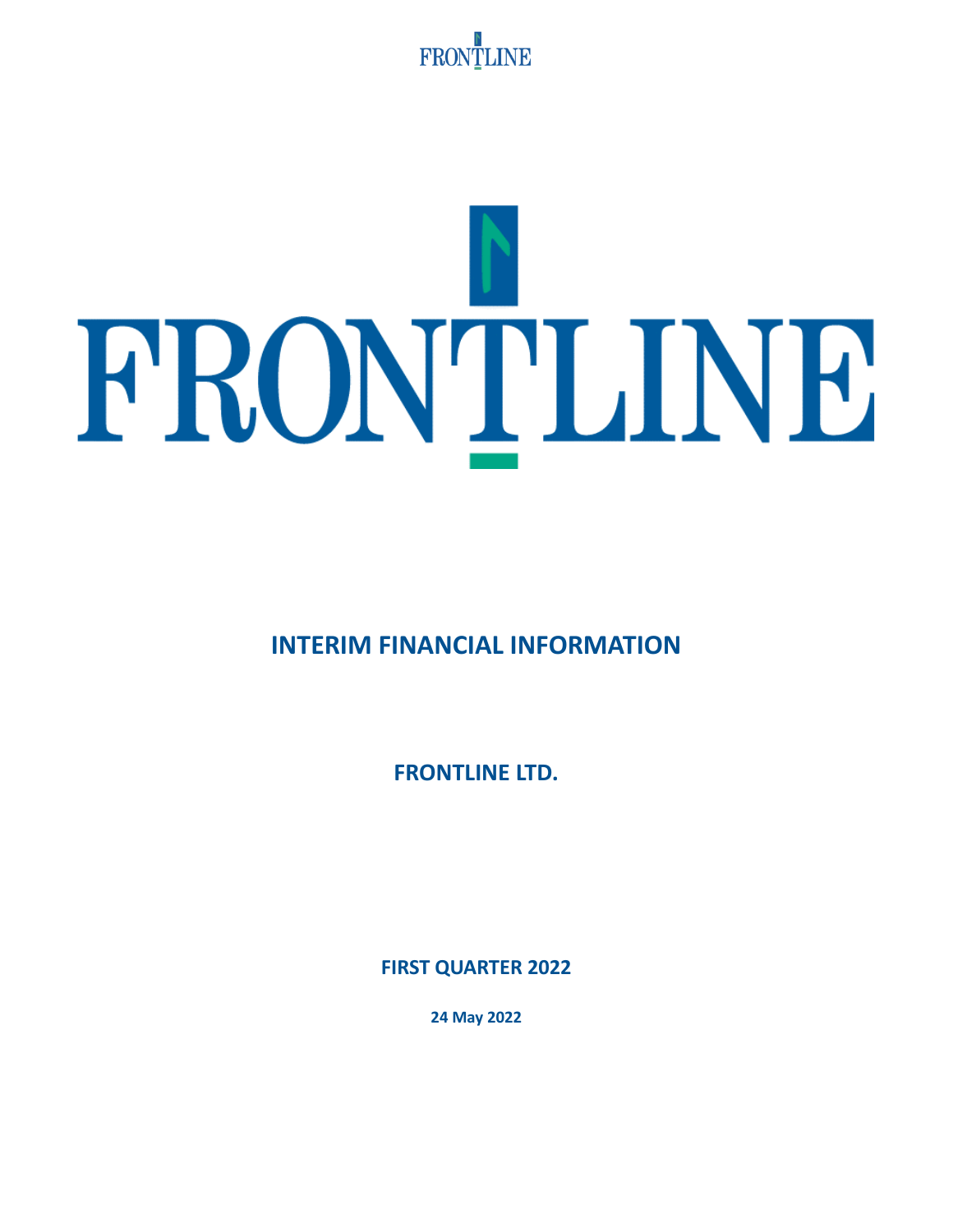

**INTERIM FINANCIAL INFORMATION**

**FRONTLINE LTD.**

**FIRST QUARTER 2022**

**24 May 2022**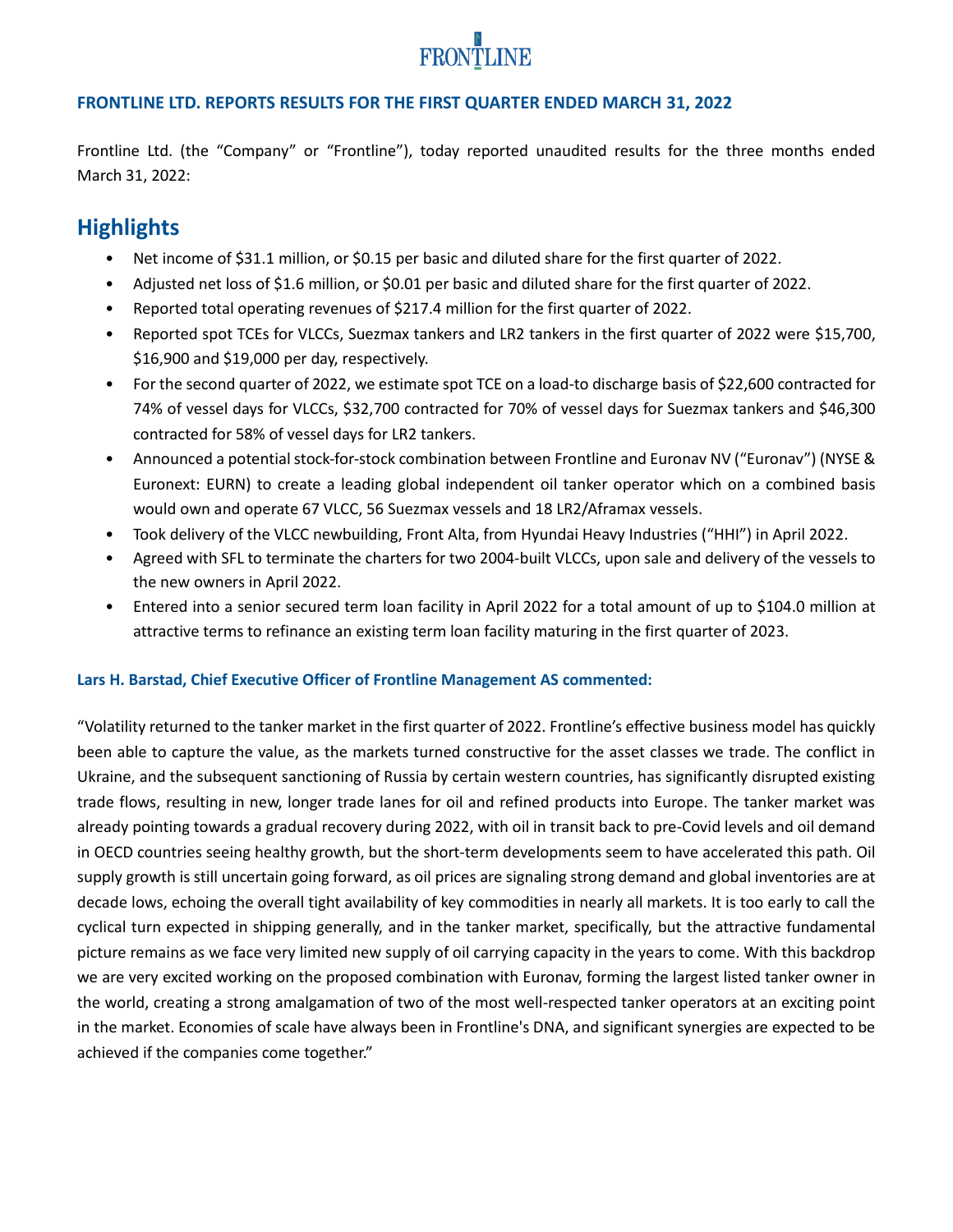

# **FRONTLINE LTD. REPORTS RESULTS FOR THE FIRST QUARTER ENDED MARCH 31, 2022**

Frontline Ltd. (the "Company" or "Frontline"), today reported unaudited results for the three months ended March 31, 2022:

# **Highlights**

- Net income of \$31.1 million, or \$0.15 per basic and diluted share for the first quarter of 2022.
- Adjusted net loss of \$1.6 million, or \$0.01 per basic and diluted share for the first quarter of 2022.
- Reported total operating revenues of \$217.4 million for the first quarter of 2022.
- Reported spot TCEs for VLCCs, Suezmax tankers and LR2 tankers in the first quarter of 2022 were \$15,700, \$16,900 and \$19,000 per day, respectively.
- For the second quarter of 2022, we estimate spot TCE on a load-to discharge basis of \$22,600 contracted for 74% of vessel days for VLCCs, \$32,700 contracted for 70% of vessel days for Suezmax tankers and \$46,300 contracted for 58% of vessel days for LR2 tankers.
- Announced a potential stock-for-stock combination between Frontline and Euronav NV ("Euronav") (NYSE & Euronext: EURN) to create a leading global independent oil tanker operator which on a combined basis would own and operate 67 VLCC, 56 Suezmax vessels and 18 LR2/Aframax vessels.
- Took delivery of the VLCC newbuilding, Front Alta, from Hyundai Heavy Industries ("HHI") in April 2022.
- Agreed with SFL to terminate the charters for two 2004-built VLCCs, upon sale and delivery of the vessels to the new owners in April 2022.
- Entered into a senior secured term loan facility in April 2022 for a total amount of up to \$104.0 million at attractive terms to refinance an existing term loan facility maturing in the first quarter of 2023.

# **Lars H. Barstad, Chief Executive Officer of Frontline Management AS commented:**

"Volatility returned to the tanker market in the first quarter of 2022. Frontline's effective business model has quickly been able to capture the value, as the markets turned constructive for the asset classes we trade. The conflict in Ukraine, and the subsequent sanctioning of Russia by certain western countries, has significantly disrupted existing trade flows, resulting in new, longer trade lanes for oil and refined products into Europe. The tanker market was already pointing towards a gradual recovery during 2022, with oil in transit back to pre-Covid levels and oil demand in OECD countries seeing healthy growth, but the short-term developments seem to have accelerated this path. Oil supply growth is still uncertain going forward, as oil prices are signaling strong demand and global inventories are at decade lows, echoing the overall tight availability of key commodities in nearly all markets. It is too early to call the cyclical turn expected in shipping generally, and in the tanker market, specifically, but the attractive fundamental picture remains as we face very limited new supply of oil carrying capacity in the years to come. With this backdrop we are very excited working on the proposed combination with Euronav, forming the largest listed tanker owner in the world, creating a strong amalgamation of two of the most well-respected tanker operators at an exciting point in the market. Economies of scale have always been in Frontline's DNA, and significant synergies are expected to be achieved if the companies come together."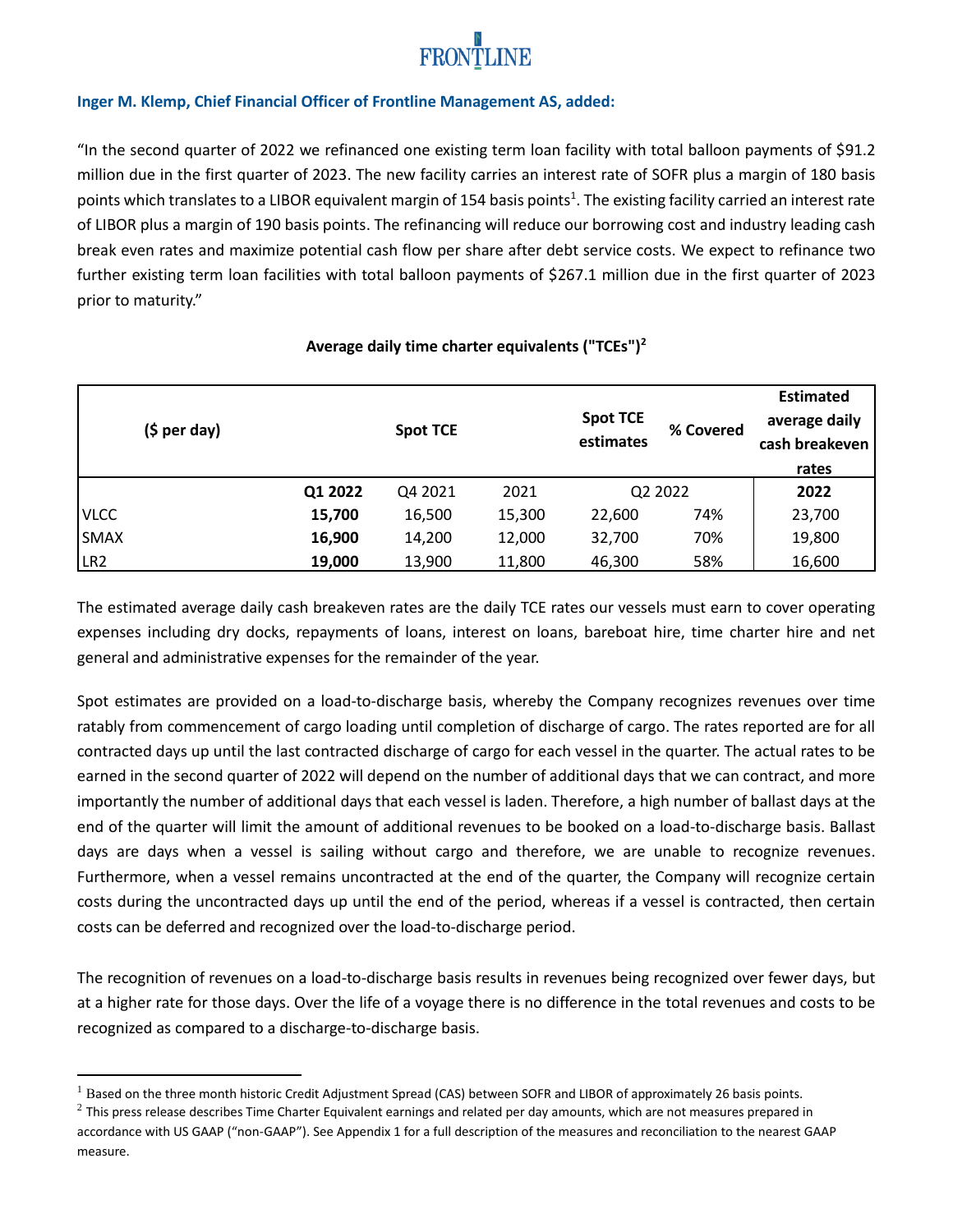

# **Inger M. Klemp, Chief Financial Officer of Frontline Management AS, added:**

"In the second quarter of 2022 we refinanced one existing term loan facility with total balloon payments of \$91.2 million due in the first quarter of 2023. The new facility carries an interest rate of SOFR plus a margin of 180 basis points which translates to a LIBOR equivalent margin of 154 basis points<sup>1</sup>. The existing facility carried an interest rate of LIBOR plus a margin of 190 basis points. The refinancing will reduce our borrowing cost and industry leading cash break even rates and maximize potential cash flow per share after debt service costs. We expect to refinance two further existing term loan facilities with total balloon payments of \$267.1 million due in the first quarter of 2023 prior to maturity."

| $(5$ per day)   |         | <b>Spot TCE</b> |        | <b>Spot TCE</b><br>estimates | % Covered | <b>Estimated</b><br>average daily<br>cash breakeven<br>rates |
|-----------------|---------|-----------------|--------|------------------------------|-----------|--------------------------------------------------------------|
|                 | Q1 2022 | Q4 2021         | 2021   |                              | Q2 2022   | 2022                                                         |
| <b>VLCC</b>     | 15,700  | 16,500          | 15,300 | 22,600                       | 74%       | 23,700                                                       |
| <b>SMAX</b>     | 16,900  | 14,200          | 12,000 | 32,700                       | 70%       | 19,800                                                       |
| LR <sub>2</sub> | 19,000  | 13,900          | 11,800 | 46,300                       | 58%       | 16,600                                                       |

# **Average daily time charter equivalents ("TCEs")<sup>2</sup>**

The estimated average daily cash breakeven rates are the daily TCE rates our vessels must earn to cover operating expenses including dry docks, repayments of loans, interest on loans, bareboat hire, time charter hire and net general and administrative expenses for the remainder of the year.

Spot estimates are provided on a load-to-discharge basis, whereby the Company recognizes revenues over time ratably from commencement of cargo loading until completion of discharge of cargo. The rates reported are for all contracted days up until the last contracted discharge of cargo for each vessel in the quarter. The actual rates to be earned in the second quarter of 2022 will depend on the number of additional days that we can contract, and more importantly the number of additional days that each vessel is laden. Therefore, a high number of ballast days at the end of the quarter will limit the amount of additional revenues to be booked on a load-to-discharge basis. Ballast days are days when a vessel is sailing without cargo and therefore, we are unable to recognize revenues. Furthermore, when a vessel remains uncontracted at the end of the quarter, the Company will recognize certain costs during the uncontracted days up until the end of the period, whereas if a vessel is contracted, then certain costs can be deferred and recognized over the load-to-discharge period.

The recognition of revenues on a load-to-discharge basis results in revenues being recognized over fewer days, but at a higher rate for those days. Over the life of a voyage there is no difference in the total revenues and costs to be recognized as compared to a discharge-to-discharge basis.

 $1$  Based on the three month historic Credit Adjustment Spread (CAS) between SOFR and LIBOR of approximately 26 basis points.

 $^2$  This press release describes Time Charter Equivalent earnings and related per day amounts, which are not measures prepared in accordance with US GAAP ("non-GAAP"). See Appendix 1 for a full description of the measures and reconciliation to the nearest GAAP measure.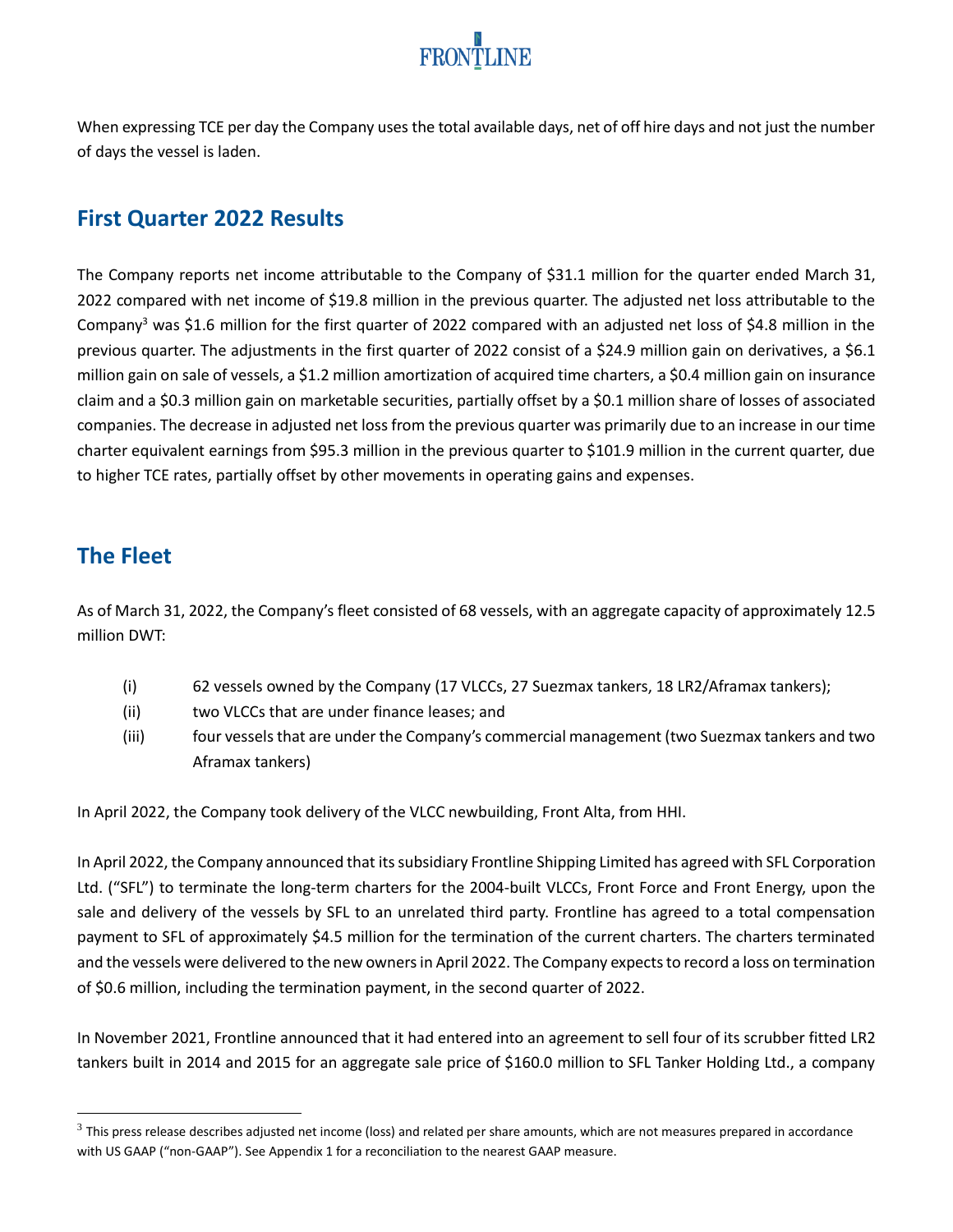

When expressing TCE per day the Company uses the total available days, net of off hire days and not just the number of days the vessel is laden.

# **First Quarter 2022 Results**

The Company reports net income attributable to the Company of \$31.1 million for the quarter ended March 31, 2022 compared with net income of \$19.8 million in the previous quarter. The adjusted net loss attributable to the Company<sup>3</sup> was \$1.6 million for the first quarter of 2022 compared with an adjusted net loss of \$4.8 million in the previous quarter. The adjustments in the first quarter of 2022 consist of a \$24.9 million gain on derivatives, a \$6.1 million gain on sale of vessels, a \$1.2 million amortization of acquired time charters, a \$0.4 million gain on insurance claim and a \$0.3 million gain on marketable securities, partially offset by a \$0.1 million share of losses of associated companies. The decrease in adjusted net loss from the previous quarter was primarily due to an increase in our time charter equivalent earnings from \$95.3 million in the previous quarter to \$101.9 million in the current quarter, due to higher TCE rates, partially offset by other movements in operating gains and expenses.

# **The Fleet**

As of March 31, 2022, the Company's fleet consisted of 68 vessels, with an aggregate capacity of approximately 12.5 million DWT:

- (i) 62 vessels owned by the Company (17 VLCCs, 27 Suezmax tankers, 18 LR2/Aframax tankers);
- (ii) two VLCCs that are under finance leases; and
- (iii) four vessels that are under the Company's commercial management (two Suezmax tankers and two Aframax tankers)

In April 2022, the Company took delivery of the VLCC newbuilding, Front Alta, from HHI.

In April 2022, the Company announced that its subsidiary Frontline Shipping Limited has agreed with SFL Corporation Ltd. ("SFL") to terminate the long-term charters for the 2004-built VLCCs, Front Force and Front Energy, upon the sale and delivery of the vessels by SFL to an unrelated third party. Frontline has agreed to a total compensation payment to SFL of approximately \$4.5 million for the termination of the current charters. The charters terminated and the vessels were delivered to the new ownersin April 2022. The Company expects to record a loss on termination of \$0.6 million, including the termination payment, in the second quarter of 2022.

In November 2021, Frontline announced that it had entered into an agreement to sell four of its scrubber fitted LR2 tankers built in 2014 and 2015 for an aggregate sale price of \$160.0 million to SFL Tanker Holding Ltd., a company

 $^3$  This press release describes adjusted net income (loss) and related per share amounts, which are not measures prepared in accordance with US GAAP ("non-GAAP"). See Appendix 1 for a reconciliation to the nearest GAAP measure.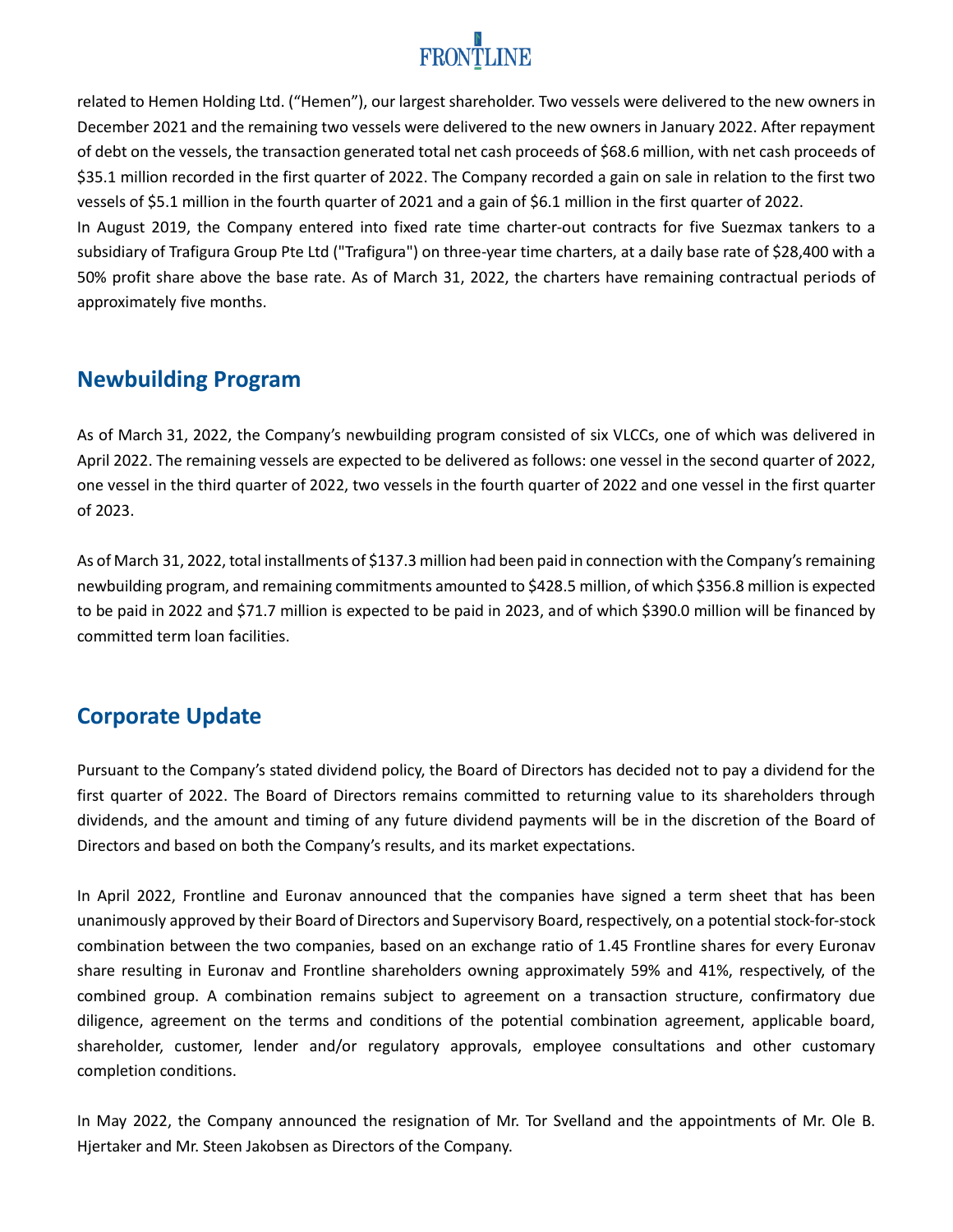

related to Hemen Holding Ltd. ("Hemen"), our largest shareholder. Two vessels were delivered to the new owners in December 2021 and the remaining two vessels were delivered to the new owners in January 2022. After repayment of debt on the vessels, the transaction generated total net cash proceeds of \$68.6 million, with net cash proceeds of \$35.1 million recorded in the first quarter of 2022. The Company recorded a gain on sale in relation to the first two vessels of \$5.1 million in the fourth quarter of 2021 and a gain of \$6.1 million in the first quarter of 2022. In August 2019, the Company entered into fixed rate time charter-out contracts for five Suezmax tankers to a subsidiary of Trafigura Group Pte Ltd ("Trafigura") on three-year time charters, at a daily base rate of \$28,400 with a 50% profit share above the base rate. As of March 31, 2022, the charters have remaining contractual periods of approximately five months.

# **Newbuilding Program**

As of March 31, 2022, the Company's newbuilding program consisted of six VLCCs, one of which was delivered in April 2022. The remaining vessels are expected to be delivered as follows: one vessel in the second quarter of 2022, one vessel in the third quarter of 2022, two vessels in the fourth quarter of 2022 and one vessel in the first quarter of 2023.

As of March 31, 2022, total installments of \$137.3 million had been paid in connection with the Company's remaining newbuilding program, and remaining commitments amounted to \$428.5 million, of which \$356.8 million is expected to be paid in 2022 and \$71.7 million is expected to be paid in 2023, and of which \$390.0 million will be financed by committed term loan facilities.

# **Corporate Update**

Pursuant to the Company's stated dividend policy, the Board of Directors has decided not to pay a dividend for the first quarter of 2022. The Board of Directors remains committed to returning value to its shareholders through dividends, and the amount and timing of any future dividend payments will be in the discretion of the Board of Directors and based on both the Company's results, and its market expectations.

In April 2022, Frontline and Euronav announced that the companies have signed a term sheet that has been unanimously approved by their Board of Directors and Supervisory Board, respectively, on a potential stock-for-stock combination between the two companies, based on an exchange ratio of 1.45 Frontline shares for every Euronav share resulting in Euronav and Frontline shareholders owning approximately 59% and 41%, respectively, of the combined group. A combination remains subject to agreement on a transaction structure, confirmatory due diligence, agreement on the terms and conditions of the potential combination agreement, applicable board, shareholder, customer, lender and/or regulatory approvals, employee consultations and other customary completion conditions.

In May 2022, the Company announced the resignation of Mr. Tor Svelland and the appointments of Mr. Ole B. Hjertaker and Mr. Steen Jakobsen as Directors of the Company.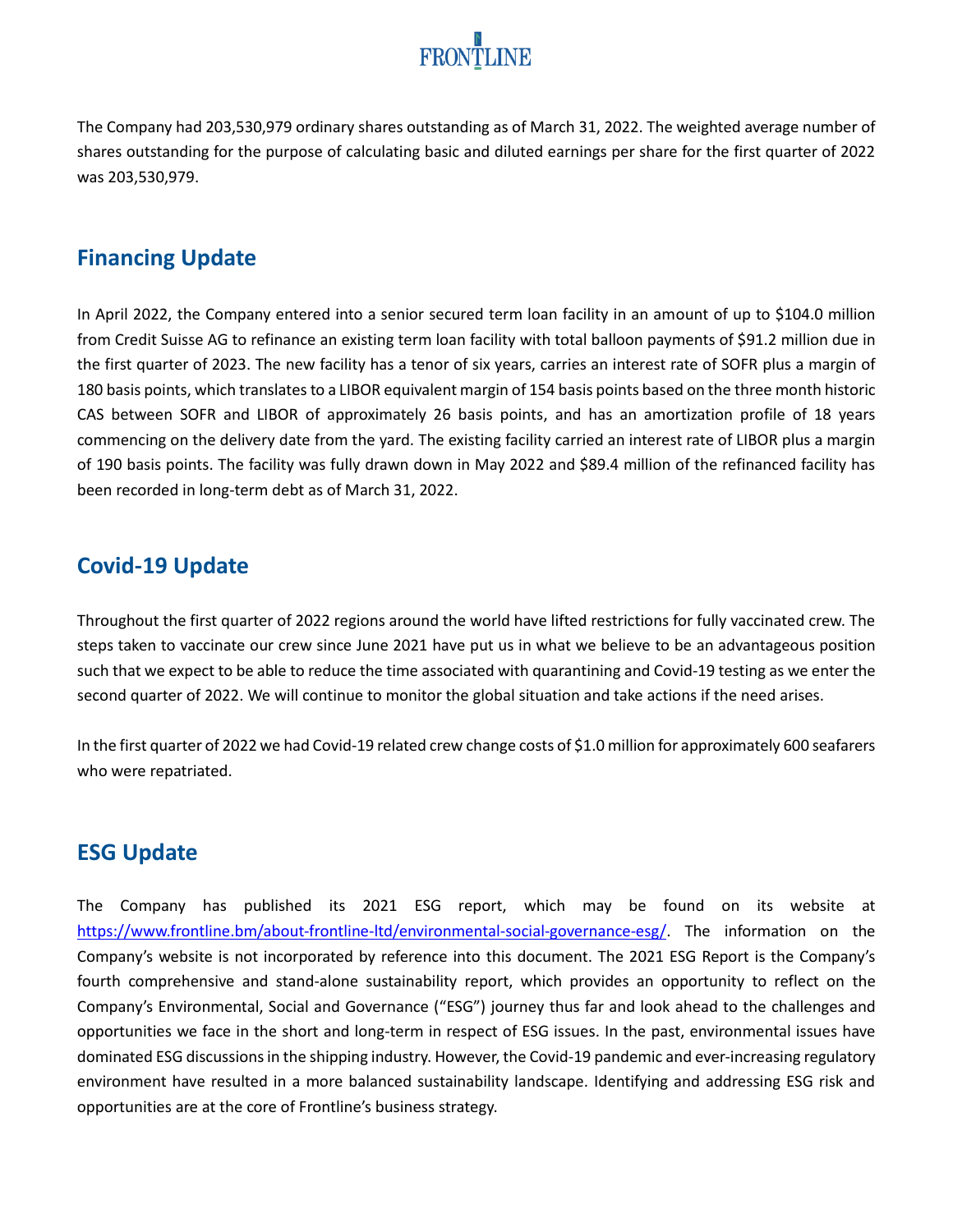

The Company had 203,530,979 ordinary shares outstanding as of March 31, 2022. The weighted average number of shares outstanding for the purpose of calculating basic and diluted earnings per share for the first quarter of 2022 was 203,530,979.

# **Financing Update**

In April 2022, the Company entered into a senior secured term loan facility in an amount of up to \$104.0 million from Credit Suisse AG to refinance an existing term loan facility with total balloon payments of \$91.2 million due in the first quarter of 2023. The new facility has a tenor of six years, carries an interest rate of SOFR plus a margin of 180 basis points, which translatesto a LIBOR equivalent margin of 154 basis points based on the three month historic CAS between SOFR and LIBOR of approximately 26 basis points, and has an amortization profile of 18 years commencing on the delivery date from the yard. The existing facility carried an interest rate of LIBOR plus a margin of 190 basis points. The facility was fully drawn down in May 2022 and \$89.4 million of the refinanced facility has been recorded in long-term debt as of March 31, 2022.

# **Covid-19 Update**

Throughout the first quarter of 2022 regions around the world have lifted restrictions for fully vaccinated crew. The steps taken to vaccinate our crew since June 2021 have put us in what we believe to be an advantageous position such that we expect to be able to reduce the time associated with quarantining and Covid-19 testing as we enter the second quarter of 2022. We will continue to monitor the global situation and take actions if the need arises.

In the first quarter of 2022 we had Covid-19 related crew change costs of \$1.0 million for approximately 600 seafarers who were repatriated.

# **ESG Update**

The Company has published its 2021 ESG report, which may be found on its website at [https://www.frontline.bm/about-frontline-ltd/environmental-social-governance-esg/.](https://www.frontline.bm/about-frontline-ltd/environmental-social-governance-esg/) The information on the Company's website is not incorporated by reference into this document. The 2021 ESG Report is the Company's fourth comprehensive and stand-alone sustainability report, which provides an opportunity to reflect on the Company's Environmental, Social and Governance ("ESG") journey thus far and look ahead to the challenges and opportunities we face in the short and long-term in respect of ESG issues. In the past, environmental issues have dominated ESG discussions in the shipping industry. However, the Covid-19 pandemic and ever-increasing regulatory environment have resulted in a more balanced sustainability landscape. Identifying and addressing ESG risk and opportunities are at the core of Frontline's business strategy.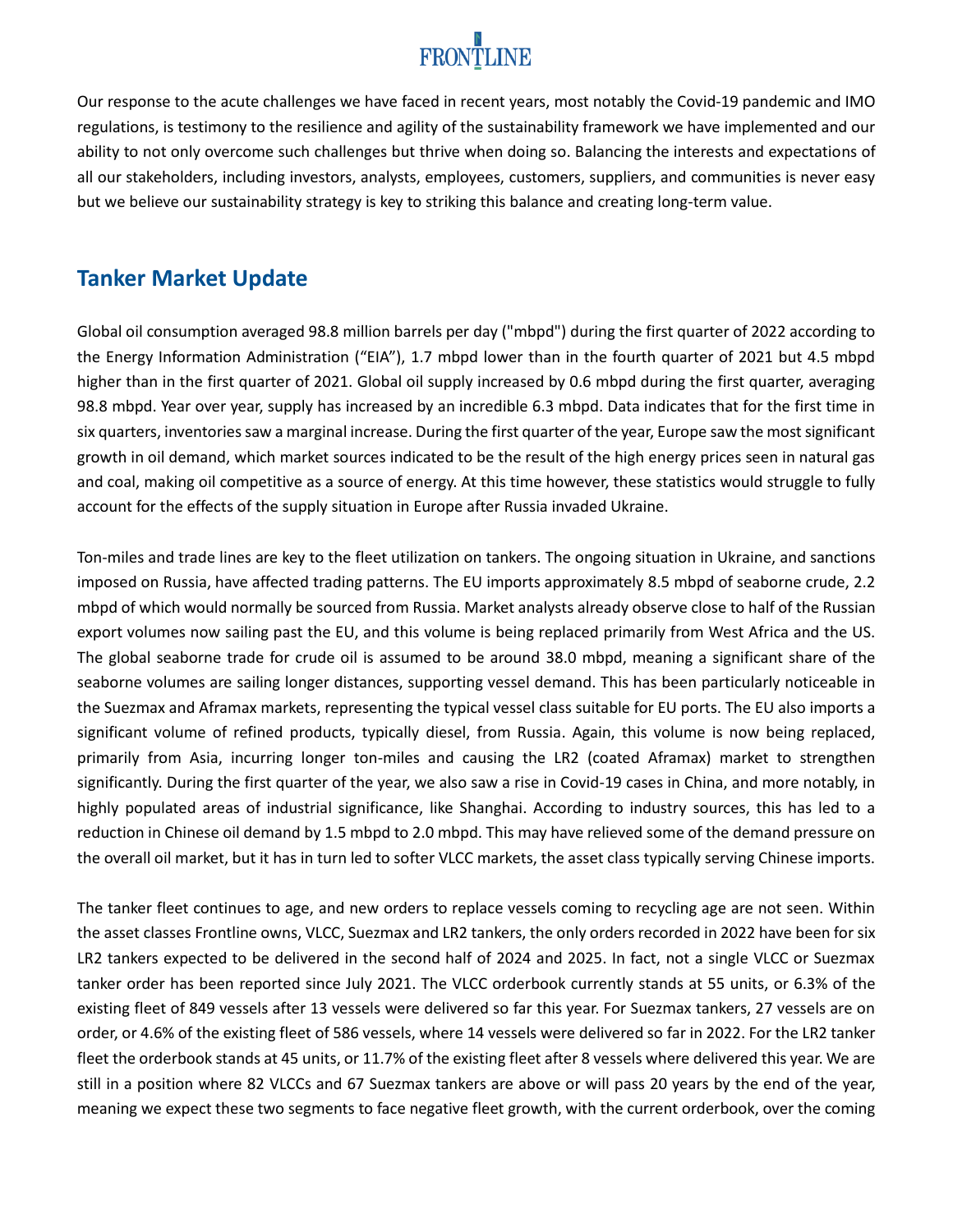

Our response to the acute challenges we have faced in recent years, most notably the Covid-19 pandemic and IMO regulations, is testimony to the resilience and agility of the sustainability framework we have implemented and our ability to not only overcome such challenges but thrive when doing so. Balancing the interests and expectations of all our stakeholders, including investors, analysts, employees, customers, suppliers, and communities is never easy but we believe our sustainability strategy is key to striking this balance and creating long-term value.

# **Tanker Market Update**

Global oil consumption averaged 98.8 million barrels per day ("mbpd") during the first quarter of 2022 according to the Energy Information Administration ("EIA"), 1.7 mbpd lower than in the fourth quarter of 2021 but 4.5 mbpd higher than in the first quarter of 2021. Global oil supply increased by 0.6 mbpd during the first quarter, averaging 98.8 mbpd. Year over year, supply has increased by an incredible 6.3 mbpd. Data indicates that for the first time in six quarters, inventories saw a marginal increase. During the first quarter of the year, Europe saw the most significant growth in oil demand, which market sources indicated to be the result of the high energy prices seen in natural gas and coal, making oil competitive as a source of energy. At this time however, these statistics would struggle to fully account for the effects of the supply situation in Europe after Russia invaded Ukraine.

Ton-miles and trade lines are key to the fleet utilization on tankers. The ongoing situation in Ukraine, and sanctions imposed on Russia, have affected trading patterns. The EU imports approximately 8.5 mbpd of seaborne crude, 2.2 mbpd of which would normally be sourced from Russia. Market analysts already observe close to half of the Russian export volumes now sailing past the EU, and this volume is being replaced primarily from West Africa and the US. The global seaborne trade for crude oil is assumed to be around 38.0 mbpd, meaning a significant share of the seaborne volumes are sailing longer distances, supporting vessel demand. This has been particularly noticeable in the Suezmax and Aframax markets, representing the typical vessel class suitable for EU ports. The EU also imports a significant volume of refined products, typically diesel, from Russia. Again, this volume is now being replaced, primarily from Asia, incurring longer ton-miles and causing the LR2 (coated Aframax) market to strengthen significantly. During the first quarter of the year, we also saw a rise in Covid-19 cases in China, and more notably, in highly populated areas of industrial significance, like Shanghai. According to industry sources, this has led to a reduction in Chinese oil demand by 1.5 mbpd to 2.0 mbpd. This may have relieved some of the demand pressure on the overall oil market, but it has in turn led to softer VLCC markets, the asset class typically serving Chinese imports.

The tanker fleet continues to age, and new orders to replace vessels coming to recycling age are not seen. Within the asset classes Frontline owns, VLCC, Suezmax and LR2 tankers, the only orders recorded in 2022 have been for six LR2 tankers expected to be delivered in the second half of 2024 and 2025. In fact, not a single VLCC or Suezmax tanker order has been reported since July 2021. The VLCC orderbook currently stands at 55 units, or 6.3% of the existing fleet of 849 vessels after 13 vessels were delivered so far this year. For Suezmax tankers, 27 vessels are on order, or 4.6% of the existing fleet of 586 vessels, where 14 vessels were delivered so far in 2022. For the LR2 tanker fleet the orderbook stands at 45 units, or 11.7% of the existing fleet after 8 vessels where delivered this year. We are still in a position where 82 VLCCs and 67 Suezmax tankers are above or will pass 20 years by the end of the year, meaning we expect these two segments to face negative fleet growth, with the current orderbook, over the coming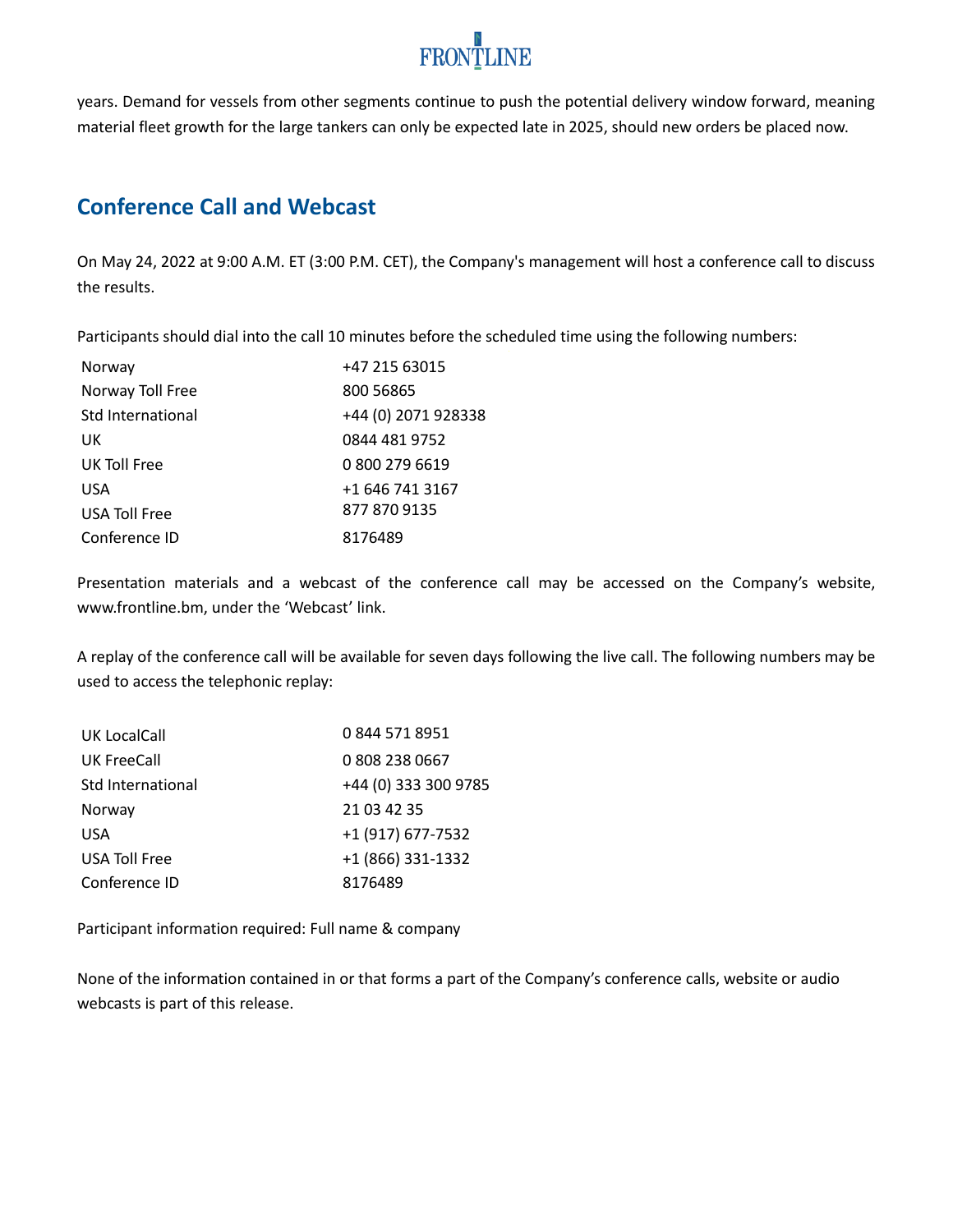

years. Demand for vessels from other segments continue to push the potential delivery window forward, meaning material fleet growth for the large tankers can only be expected late in 2025, should new orders be placed now.

# **Conference Call and Webcast**

On May 24, 2022 at 9:00 A.M. ET (3:00 P.M. CET), the Company's management will host a conference call to discuss the results.

Participants should dial into the call 10 minutes before the scheduled time using the following numbers:

| Norway            | +47 215 63015       |
|-------------------|---------------------|
| Norway Toll Free  | 800 56865           |
| Std International | +44 (0) 2071 928338 |
| UK                | 0844 481 9752       |
| UK Toll Free      | 08002796619         |
| <b>USA</b>        | +1 646 741 3167     |
| USA Toll Free     | 877 870 9135        |
| Conference ID     | 8176489             |

Presentation materials and a webcast of the conference call may be accessed on the Company's website, www.frontline.bm, under the 'Webcast' link.

A replay of the conference call will be available for seven days following the live call. The following numbers may be used to access the telephonic replay:

| UK LocalCall       | 08445718951          |
|--------------------|----------------------|
| <b>UK FreeCall</b> | 0 808 238 0667       |
| Std International  | +44 (0) 333 300 9785 |
| Norway             | 21 03 42 35          |
| <b>USA</b>         | +1 (917) 677-7532    |
| USA Toll Free      | +1 (866) 331-1332    |
| Conference ID      | 8176489              |

Participant information required: Full name & company

None of the information contained in or that forms a part of the Company's conference calls, website or audio webcasts is part of this release.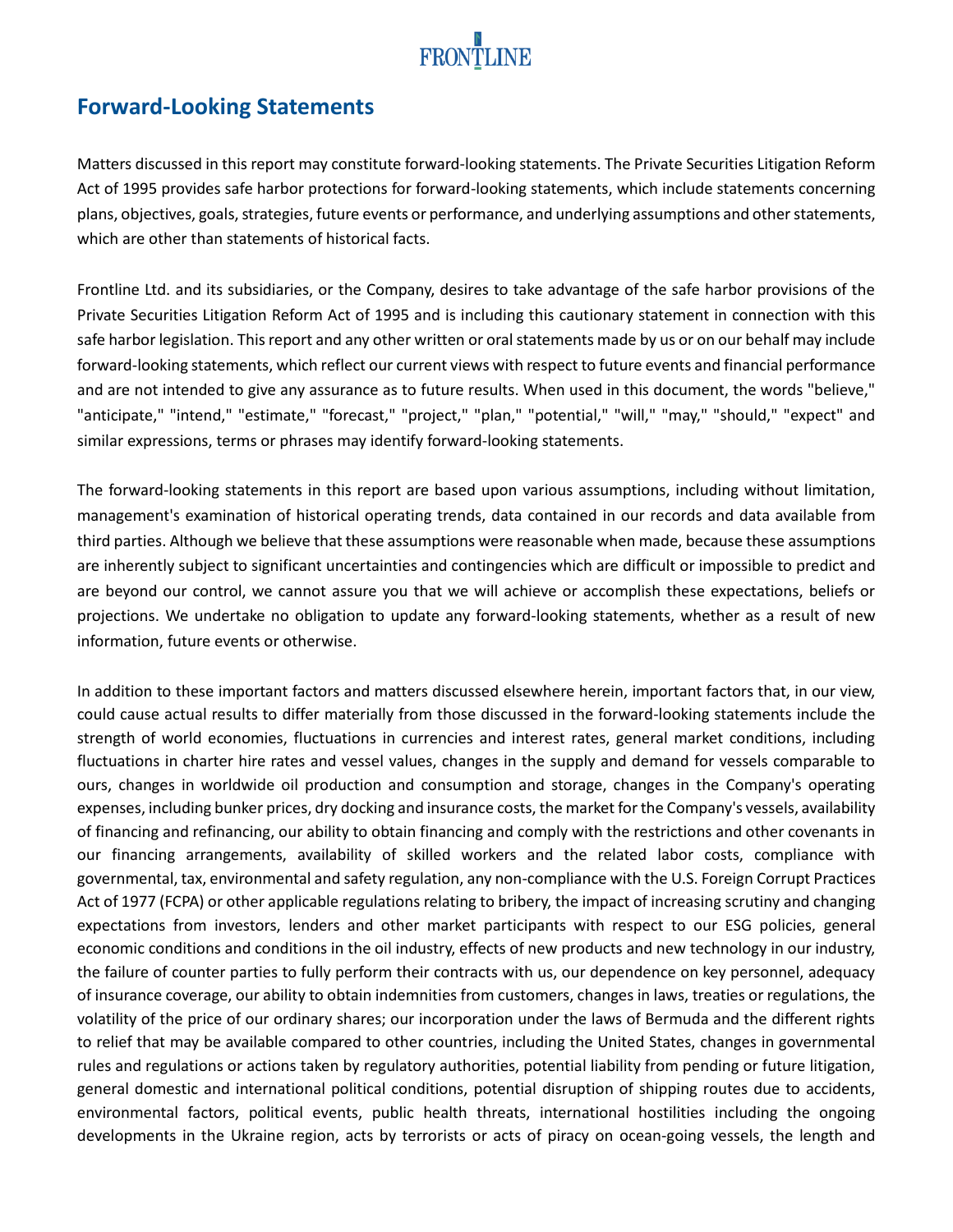# **Forward-Looking Statements**

Matters discussed in this report may constitute forward-looking statements. The Private Securities Litigation Reform Act of 1995 provides safe harbor protections for forward-looking statements, which include statements concerning plans, objectives, goals, strategies, future events or performance, and underlying assumptions and other statements, which are other than statements of historical facts.

Frontline Ltd. and its subsidiaries, or the Company, desires to take advantage of the safe harbor provisions of the Private Securities Litigation Reform Act of 1995 and is including this cautionary statement in connection with this safe harbor legislation. This report and any other written or oral statements made by us or on our behalf may include forward-looking statements, which reflect our current views with respect to future events and financial performance and are not intended to give any assurance as to future results. When used in this document, the words "believe," "anticipate," "intend," "estimate," "forecast," "project," "plan," "potential," "will," "may," "should," "expect" and similar expressions, terms or phrases may identify forward-looking statements.

The forward-looking statements in this report are based upon various assumptions, including without limitation, management's examination of historical operating trends, data contained in our records and data available from third parties. Although we believe that these assumptions were reasonable when made, because these assumptions are inherently subject to significant uncertainties and contingencies which are difficult or impossible to predict and are beyond our control, we cannot assure you that we will achieve or accomplish these expectations, beliefs or projections. We undertake no obligation to update any forward-looking statements, whether as a result of new information, future events or otherwise.

In addition to these important factors and matters discussed elsewhere herein, important factors that, in our view, could cause actual results to differ materially from those discussed in the forward-looking statements include the strength of world economies, fluctuations in currencies and interest rates, general market conditions, including fluctuations in charter hire rates and vessel values, changes in the supply and demand for vessels comparable to ours, changes in worldwide oil production and consumption and storage, changes in the Company's operating expenses, including bunker prices, dry docking and insurance costs, the market for the Company's vessels, availability of financing and refinancing, our ability to obtain financing and comply with the restrictions and other covenants in our financing arrangements, availability of skilled workers and the related labor costs, compliance with governmental, tax, environmental and safety regulation, any non-compliance with the U.S. Foreign Corrupt Practices Act of 1977 (FCPA) or other applicable regulations relating to bribery, the impact of increasing scrutiny and changing expectations from investors, lenders and other market participants with respect to our ESG policies, general economic conditions and conditions in the oil industry, effects of new products and new technology in our industry, the failure of counter parties to fully perform their contracts with us, our dependence on key personnel, adequacy of insurance coverage, our ability to obtain indemnities from customers, changes in laws, treaties or regulations, the volatility of the price of our ordinary shares; our incorporation under the laws of Bermuda and the different rights to relief that may be available compared to other countries, including the United States, changes in governmental rules and regulations or actions taken by regulatory authorities, potential liability from pending or future litigation, general domestic and international political conditions, potential disruption of shipping routes due to accidents, environmental factors, political events, public health threats, international hostilities including the ongoing developments in the Ukraine region, acts by terrorists or acts of piracy on ocean-going vessels, the length and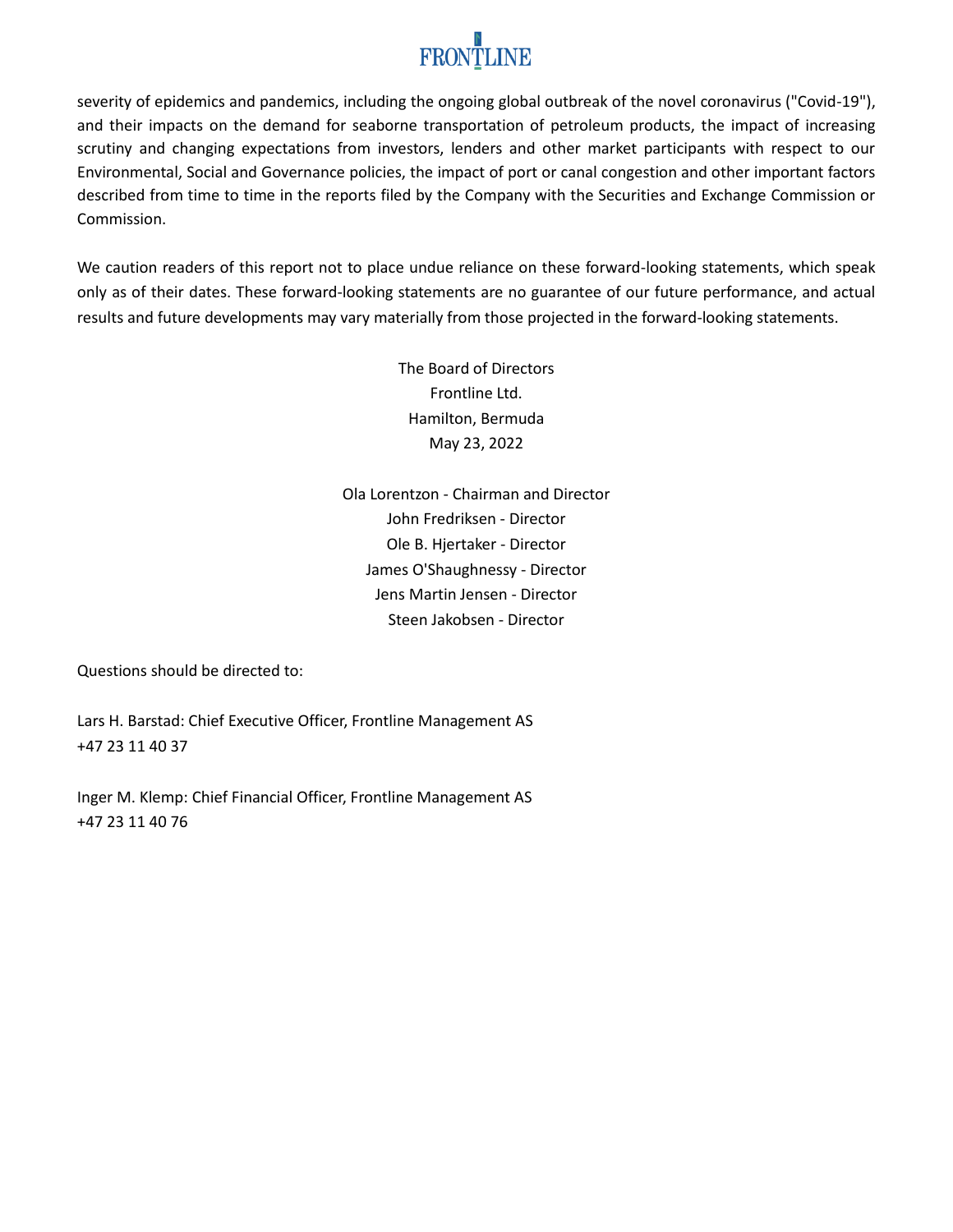severity of epidemics and pandemics, including the ongoing global outbreak of the novel coronavirus ("Covid-19"), and their impacts on the demand for seaborne transportation of petroleum products, the impact of increasing scrutiny and changing expectations from investors, lenders and other market participants with respect to our Environmental, Social and Governance policies, the impact of port or canal congestion and other important factors described from time to time in the reports filed by the Company with the Securities and Exchange Commission or Commission.

We caution readers of this report not to place undue reliance on these forward-looking statements, which speak only as of their dates. These forward-looking statements are no guarantee of our future performance, and actual results and future developments may vary materially from those projected in the forward-looking statements.

> The Board of Directors Frontline Ltd. Hamilton, Bermuda May 23, 2022

Ola Lorentzon - Chairman and Director John Fredriksen - Director Ole B. Hjertaker - Director James O'Shaughnessy - Director Jens Martin Jensen - Director Steen Jakobsen - Director

Questions should be directed to:

Lars H. Barstad: Chief Executive Officer, Frontline Management AS +47 23 11 40 37

Inger M. Klemp: Chief Financial Officer, Frontline Management AS +47 23 11 40 76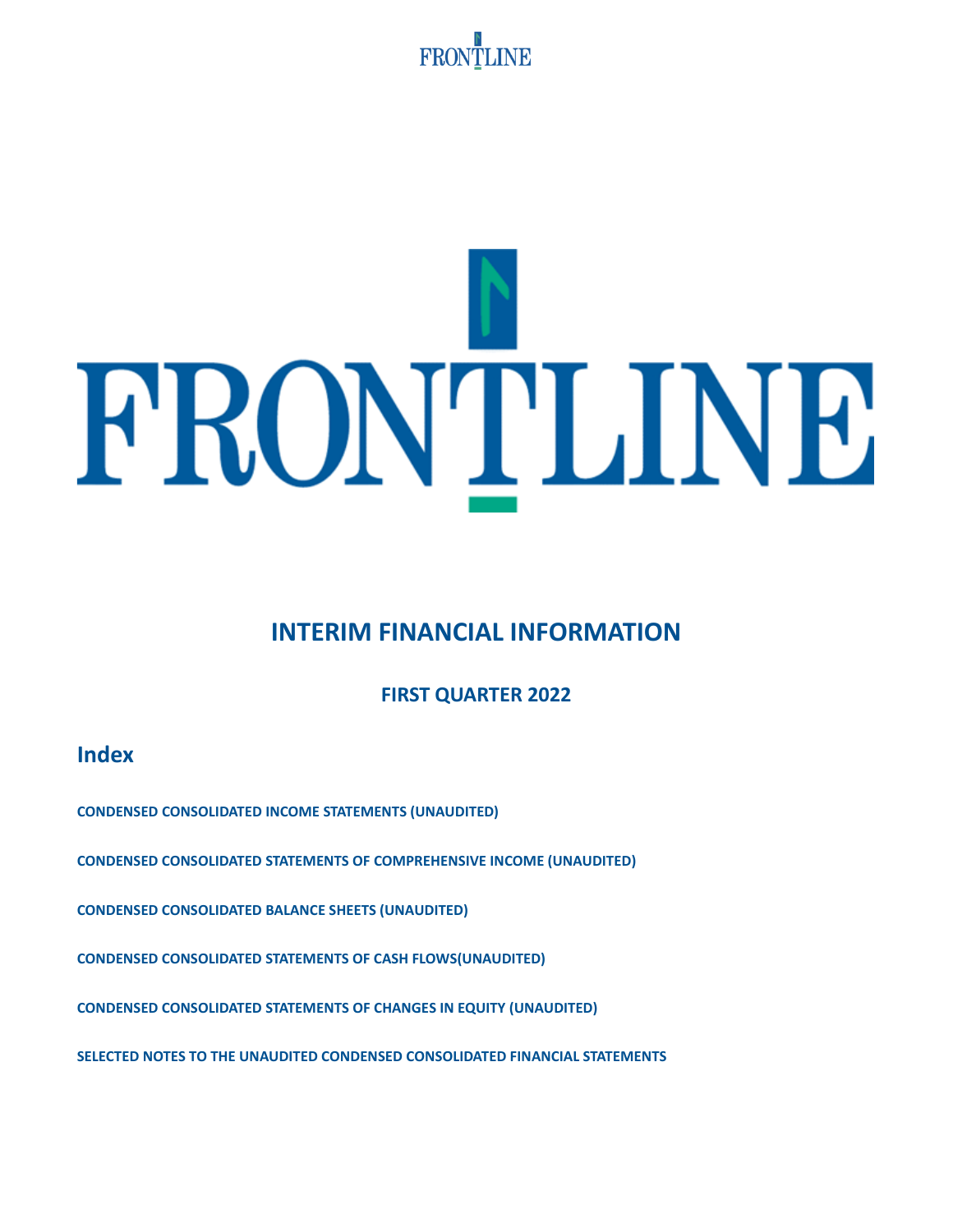

# **INTERIM FINANCIAL INFORMATION**

**FIRST QUARTER 2022**

# **Index**

**CONDENSED CONSOLIDATED INCOME STATEMENTS (UNAUDITED)**

**CONDENSED CONSOLIDATED STATEMENTS OF COMPREHENSIVE INCOME (UNAUDITED)**

**CONDENSED CONSOLIDATED BALANCE SHEETS (UNAUDITED)**

**CONDENSED CONSOLIDATED STATEMENTS OF CASH FLOWS(UNAUDITED)**

**CONDENSED CONSOLIDATED STATEMENTS OF CHANGES IN EQUITY (UNAUDITED)**

**SELECTED NOTES TO THE UNAUDITED CONDENSED CONSOLIDATED FINANCIAL STATEMENTS**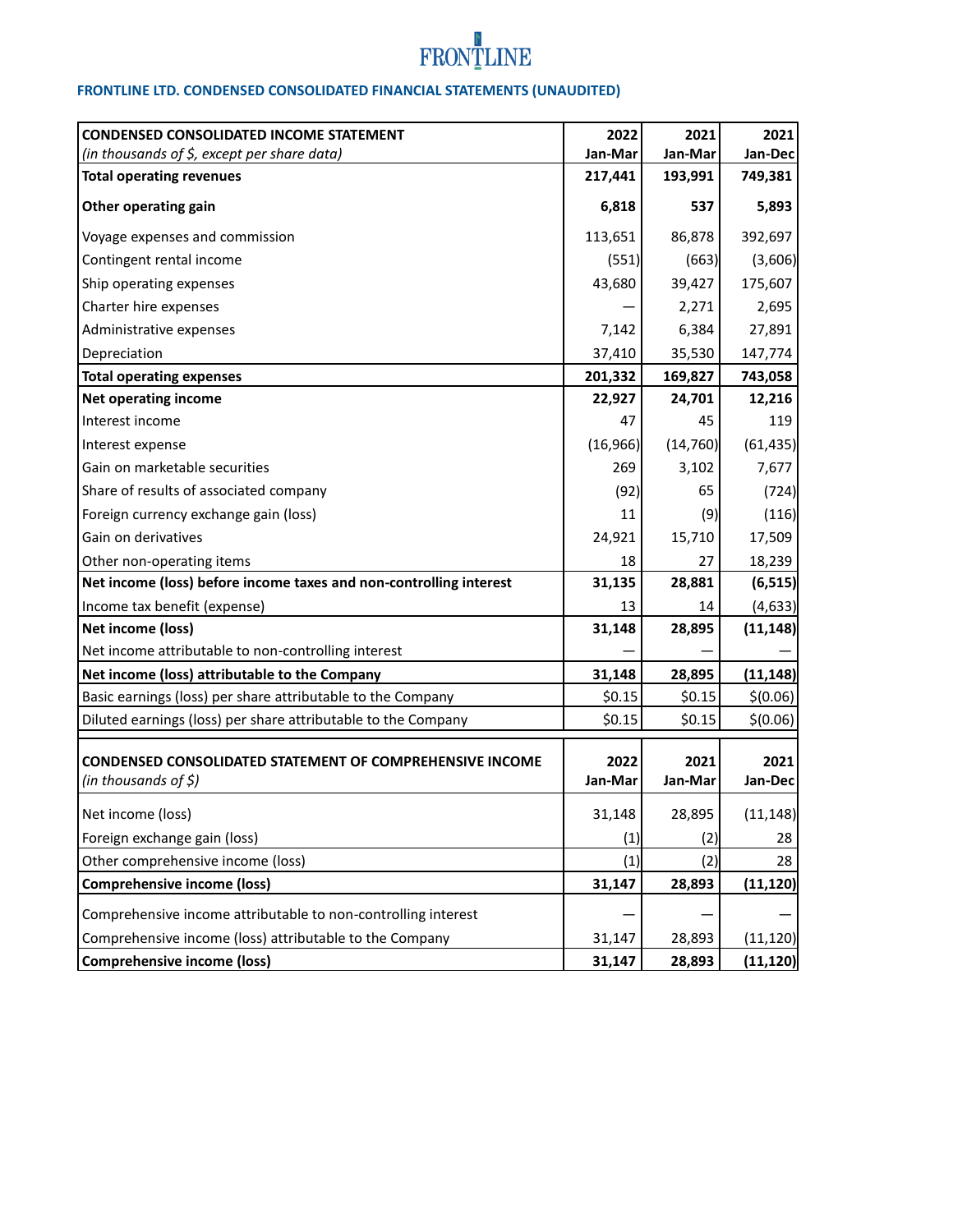

| <b>CONDENSED CONSOLIDATED INCOME STATEMENT</b>                                                | 2022      | 2021      | 2021      |
|-----------------------------------------------------------------------------------------------|-----------|-----------|-----------|
| (in thousands of \$, except per share data)                                                   | Jan-Mar   | Jan-Mar   | Jan-Dec   |
| <b>Total operating revenues</b>                                                               | 217,441   | 193,991   | 749,381   |
| Other operating gain                                                                          | 6,818     | 537       | 5,893     |
| Voyage expenses and commission                                                                | 113,651   | 86,878    | 392,697   |
| Contingent rental income                                                                      | (551)     | (663)     | (3,606)   |
| Ship operating expenses                                                                       | 43,680    | 39,427    | 175,607   |
| Charter hire expenses                                                                         |           | 2,271     | 2,695     |
| Administrative expenses                                                                       | 7,142     | 6,384     | 27,891    |
| Depreciation                                                                                  | 37,410    | 35,530    | 147,774   |
| <b>Total operating expenses</b>                                                               | 201,332   | 169,827   | 743,058   |
| <b>Net operating income</b>                                                                   | 22,927    | 24,701    | 12,216    |
| Interest income                                                                               | 47        | 45        | 119       |
| Interest expense                                                                              | (16, 966) | (14, 760) | (61, 435) |
| Gain on marketable securities                                                                 | 269       | 3,102     | 7,677     |
| Share of results of associated company                                                        | (92)      | 65        | (724)     |
| Foreign currency exchange gain (loss)                                                         | 11        | (9)       | (116)     |
| Gain on derivatives                                                                           | 24,921    | 15,710    | 17,509    |
| Other non-operating items                                                                     | 18        | 27        | 18,239    |
| Net income (loss) before income taxes and non-controlling interest                            | 31,135    | 28,881    | (6, 515)  |
| Income tax benefit (expense)                                                                  | 13        | 14        | (4,633)   |
| Net income (loss)                                                                             | 31,148    | 28,895    | (11, 148) |
| Net income attributable to non-controlling interest                                           |           |           |           |
| Net income (loss) attributable to the Company                                                 | 31,148    | 28,895    | (11, 148) |
| Basic earnings (loss) per share attributable to the Company                                   | \$0.15    | \$0.15    | \$(0.06)  |
| Diluted earnings (loss) per share attributable to the Company                                 | \$0.15    | \$0.15    | \$(0.06)  |
|                                                                                               | 2022      | 2021      | 2021      |
| <b>CONDENSED CONSOLIDATED STATEMENT OF COMPREHENSIVE INCOME</b><br>(in thousands of $\zeta$ ) | Jan-Mar   | Jan-Mar   | Jan-Dec   |
| Net income (loss)                                                                             | 31,148    | 28,895    | (11, 148) |
| Foreign exchange gain (loss)                                                                  | (1)       | (2)       | 28        |
| Other comprehensive income (loss)                                                             | (1)       | (2)       | 28        |
| <b>Comprehensive income (loss)</b>                                                            | 31,147    | 28,893    | (11, 120) |
| Comprehensive income attributable to non-controlling interest                                 |           |           |           |
| Comprehensive income (loss) attributable to the Company                                       | 31,147    | 28,893    | (11, 120) |
| <b>Comprehensive income (loss)</b>                                                            | 31,147    | 28,893    | (11, 120) |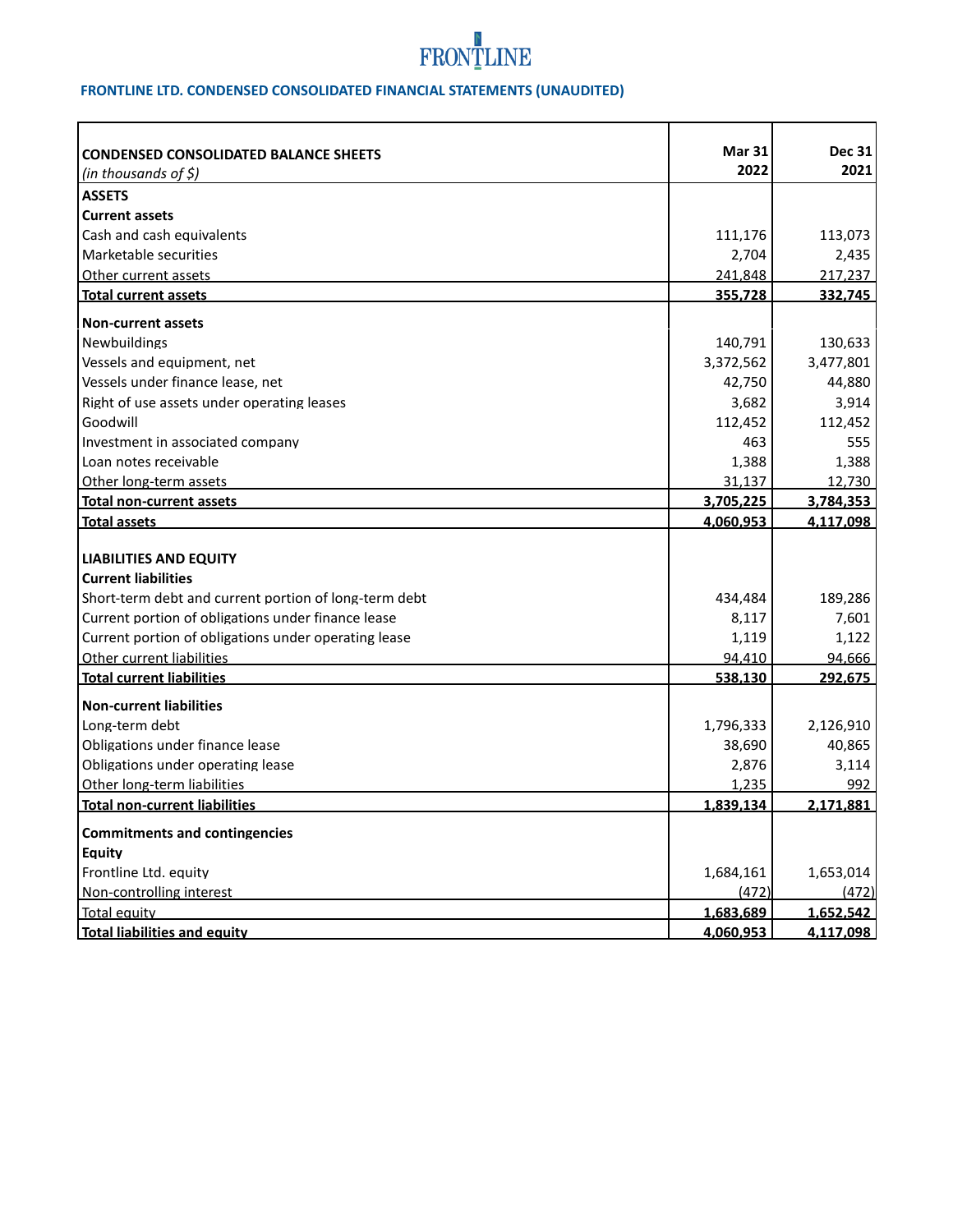| <b>CONDENSED CONSOLIDATED BALANCE SHEETS</b>          | <b>Mar 31</b> | <b>Dec 31</b> |
|-------------------------------------------------------|---------------|---------------|
| (in thousands of $\zeta$ )                            | 2022          | 2021          |
| <b>ASSETS</b>                                         |               |               |
| <b>Current assets</b>                                 |               |               |
| Cash and cash equivalents                             | 111,176       | 113,073       |
| Marketable securities                                 | 2,704         | 2,435         |
| Other current assets                                  | 241,848       | 217,237       |
| <b>Total current assets</b>                           | 355,728       | 332,745       |
| <b>Non-current assets</b>                             |               |               |
| Newbuildings                                          | 140.791       | 130.633       |
| Vessels and equipment, net                            | 3,372,562     | 3,477,801     |
| Vessels under finance lease, net                      | 42,750        | 44,880        |
| Right of use assets under operating leases            | 3,682         | 3,914         |
| Goodwill                                              | 112,452       | 112,452       |
| Investment in associated company                      | 463           | 555           |
| Loan notes receivable                                 | 1,388         | 1,388         |
| Other long-term assets                                | 31,137        | 12,730        |
| <b>Total non-current assets</b>                       | 3,705,225     | 3,784,353     |
| <b>Total assets</b>                                   | 4,060,953     | 4,117,098     |
|                                                       |               |               |
| <b>LIABILITIES AND EQUITY</b>                         |               |               |
| <b>Current liabilities</b>                            |               |               |
| Short-term debt and current portion of long-term debt | 434,484       | 189,286       |
| Current portion of obligations under finance lease    | 8,117         | 7,601         |
| Current portion of obligations under operating lease  | 1,119         | 1,122         |
| Other current liabilities                             | 94,410        | 94,666        |
| <b>Total current liabilities</b>                      | 538,130       | 292,675       |
| <b>Non-current liabilities</b>                        |               |               |
| Long-term debt                                        | 1,796,333     | 2,126,910     |
| Obligations under finance lease                       | 38,690        | 40,865        |
| Obligations under operating lease                     | 2,876         | 3,114         |
| Other long-term liabilities                           | 1,235         | 992           |
| <b>Total non-current liabilities</b>                  | 1,839,134     | 2,171,881     |
| <b>Commitments and contingencies</b>                  |               |               |
| Equity                                                |               |               |
| Frontline Ltd. equity                                 | 1,684,161     | 1,653,014     |
| Non-controlling interest                              | (472)         | (472)         |
| Total equity                                          | 1,683,689     | 1,652,542     |
| <b>Total liabilities and equity</b>                   | 4,060,953     | 4,117,098     |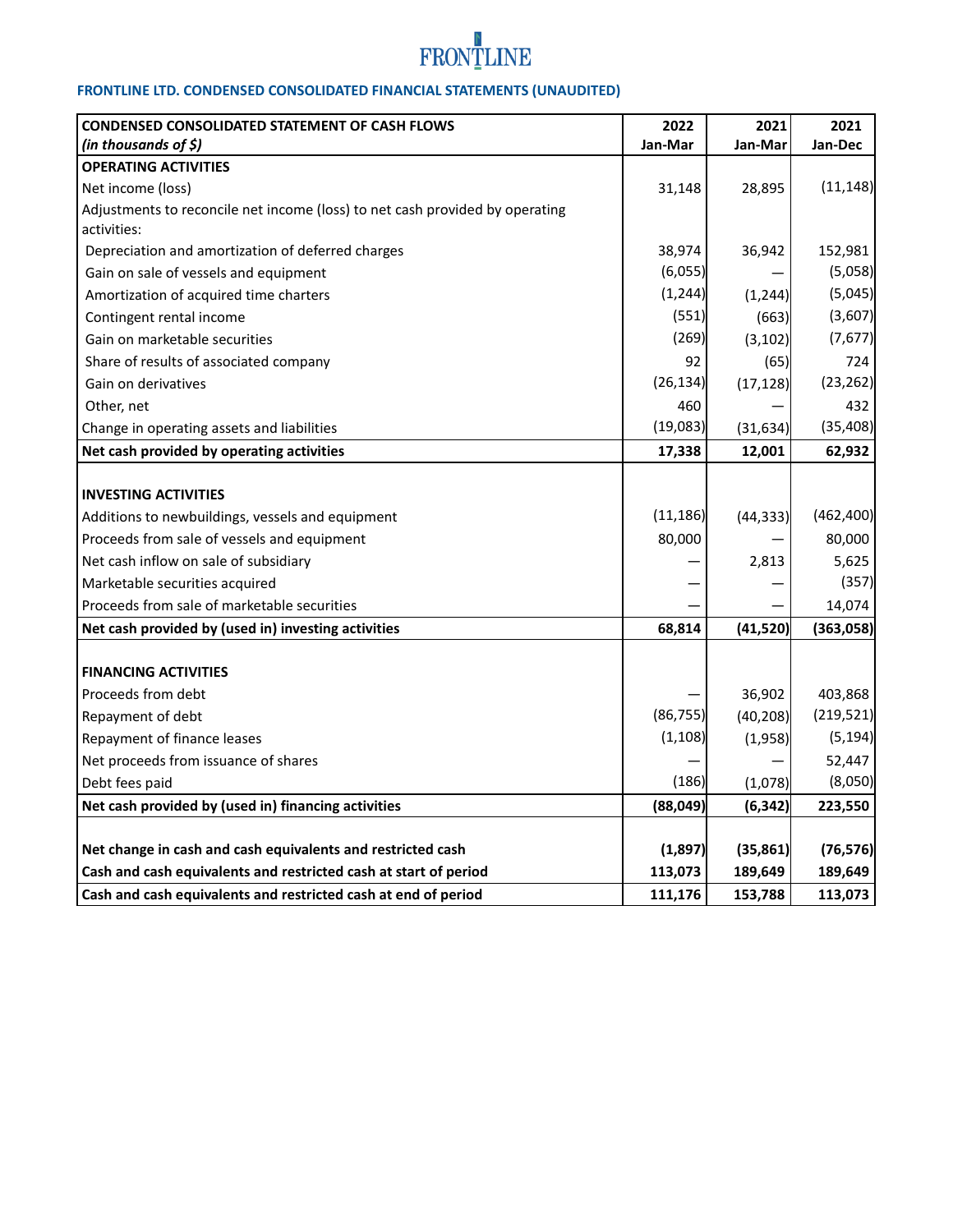

| <b>CONDENSED CONSOLIDATED STATEMENT OF CASH FLOWS</b>                                       | 2022      | 2021      | 2021       |
|---------------------------------------------------------------------------------------------|-----------|-----------|------------|
| (in thousands of \$)                                                                        | Jan-Mar   | Jan-Mar   | Jan-Dec    |
| <b>OPERATING ACTIVITIES</b>                                                                 |           |           |            |
| Net income (loss)                                                                           | 31,148    | 28,895    | (11, 148)  |
| Adjustments to reconcile net income (loss) to net cash provided by operating<br>activities: |           |           |            |
| Depreciation and amortization of deferred charges                                           | 38,974    | 36,942    | 152,981    |
| Gain on sale of vessels and equipment                                                       | (6,055)   |           | (5,058)    |
| Amortization of acquired time charters                                                      | (1, 244)  | (1, 244)  | (5,045)    |
| Contingent rental income                                                                    | (551)     | (663)     | (3,607)    |
| Gain on marketable securities                                                               | (269)     | (3, 102)  | (7,677)    |
| Share of results of associated company                                                      | 92        | (65)      | 724        |
| Gain on derivatives                                                                         | (26, 134) | (17, 128) | (23, 262)  |
| Other, net                                                                                  | 460       |           | 432        |
| Change in operating assets and liabilities                                                  | (19,083)  | (31, 634) | (35, 408)  |
| Net cash provided by operating activities                                                   | 17,338    | 12,001    | 62,932     |
| <b>INVESTING ACTIVITIES</b>                                                                 |           |           |            |
| Additions to newbuildings, vessels and equipment                                            | (11, 186) | (44, 333) | (462, 400) |
| Proceeds from sale of vessels and equipment                                                 | 80,000    |           | 80,000     |
| Net cash inflow on sale of subsidiary                                                       |           | 2,813     | 5,625      |
| Marketable securities acquired                                                              |           |           | (357)      |
| Proceeds from sale of marketable securities                                                 |           |           | 14,074     |
| Net cash provided by (used in) investing activities                                         | 68,814    | (41, 520) | (363,058)  |
| <b>FINANCING ACTIVITIES</b>                                                                 |           |           |            |
| Proceeds from debt                                                                          |           | 36,902    | 403,868    |
| Repayment of debt                                                                           | (86, 755) | (40, 208) | (219, 521) |
| Repayment of finance leases                                                                 | (1, 108)  | (1,958)   | (5, 194)   |
| Net proceeds from issuance of shares                                                        |           |           | 52,447     |
| Debt fees paid                                                                              | (186)     | (1,078)   | (8,050)    |
| Net cash provided by (used in) financing activities                                         | (88,049)  | (6, 342)  | 223,550    |
|                                                                                             |           |           |            |
| Net change in cash and cash equivalents and restricted cash                                 | (1,897)   | (35, 861) | (76, 576)  |
| Cash and cash equivalents and restricted cash at start of period                            | 113,073   | 189,649   | 189,649    |
| Cash and cash equivalents and restricted cash at end of period                              | 111,176   | 153,788   | 113,073    |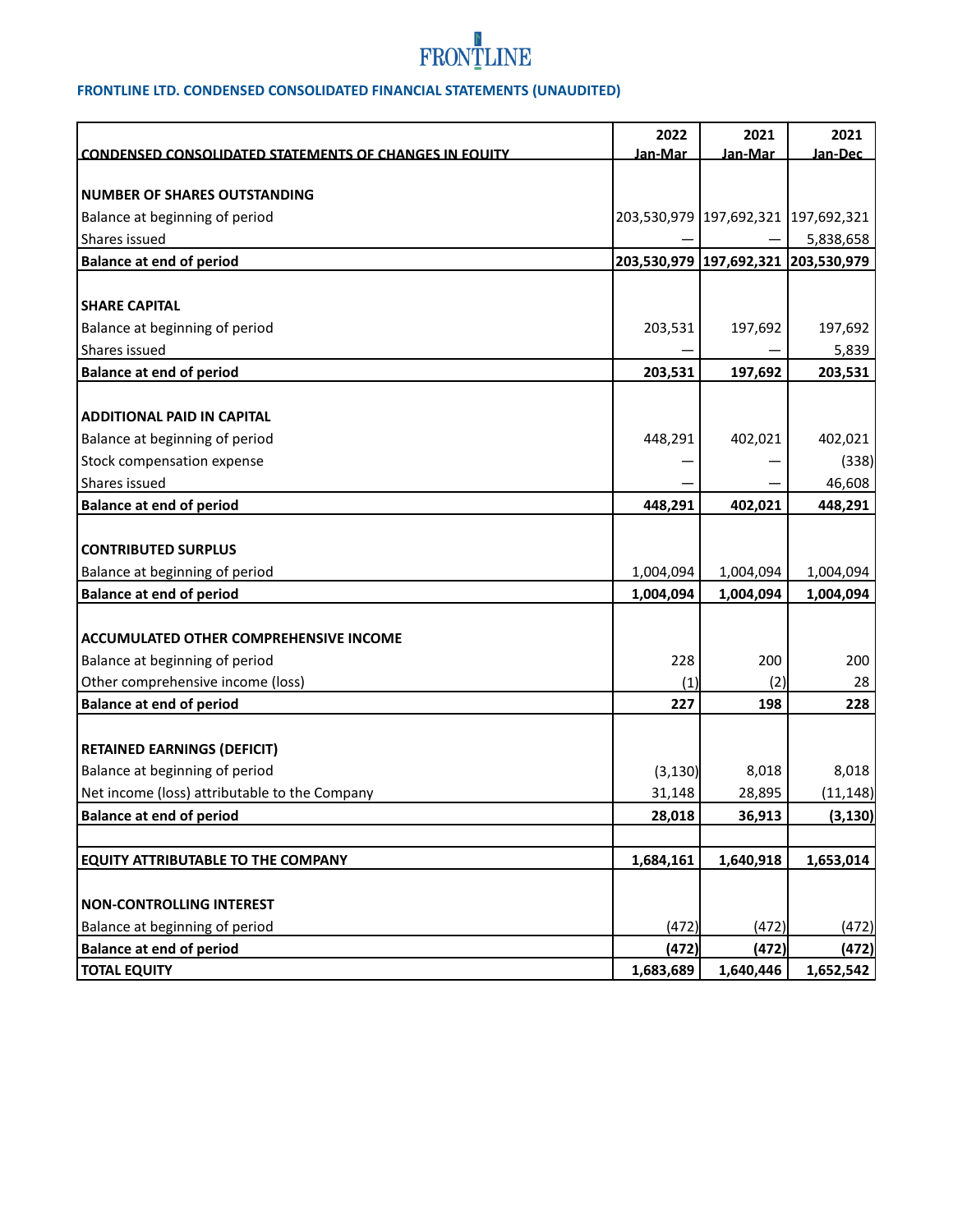|                                                               | 2022              | 2021                                | 2021      |
|---------------------------------------------------------------|-------------------|-------------------------------------|-----------|
| <b>CONDENSED CONSOLIDATED STATEMENTS OF CHANGES IN EQUITY</b> | Jan-Mar           | Jan-Mar                             | Jan-Dec   |
|                                                               |                   |                                     |           |
| <b>NUMBER OF SHARES OUTSTANDING</b>                           |                   |                                     |           |
| Balance at beginning of period                                |                   | 203,530,979 197,692,321 197,692,321 |           |
| Shares issued                                                 |                   |                                     | 5,838,658 |
| <b>Balance at end of period</b>                               |                   | 203,530,979 197,692,321 203,530,979 |           |
| <b>SHARE CAPITAL</b>                                          |                   |                                     |           |
| Balance at beginning of period                                | 203,531           | 197,692                             | 197,692   |
| Shares issued                                                 |                   |                                     | 5,839     |
| <b>Balance at end of period</b>                               | 203,531           | 197,692                             | 203,531   |
|                                                               |                   |                                     |           |
| <b>ADDITIONAL PAID IN CAPITAL</b>                             |                   |                                     |           |
| Balance at beginning of period                                | 448,291           | 402,021                             | 402,021   |
| Stock compensation expense                                    |                   |                                     | (338)     |
| Shares issued                                                 |                   |                                     | 46,608    |
| <b>Balance at end of period</b>                               | 448,291           | 402,021                             | 448,291   |
|                                                               |                   |                                     |           |
| <b>CONTRIBUTED SURPLUS</b>                                    |                   |                                     |           |
| Balance at beginning of period                                | 1,004,094         | 1,004,094                           | 1,004,094 |
| <b>Balance at end of period</b>                               | 1,004,094         | 1,004,094                           | 1,004,094 |
|                                                               |                   |                                     |           |
| ACCUMULATED OTHER COMPREHENSIVE INCOME                        |                   |                                     |           |
| Balance at beginning of period                                | 228               | 200                                 | 200       |
| Other comprehensive income (loss)                             | $\left( 1\right)$ | (2)                                 | 28        |
| <b>Balance at end of period</b>                               | 227               | 198                                 | 228       |
|                                                               |                   |                                     |           |
| <b>RETAINED EARNINGS (DEFICIT)</b>                            |                   |                                     |           |
| Balance at beginning of period                                | (3, 130)          | 8,018                               | 8,018     |
| Net income (loss) attributable to the Company                 | 31,148            | 28,895                              | (11, 148) |
| <b>Balance at end of period</b>                               | 28,018            | 36,913                              | (3, 130)  |
|                                                               |                   |                                     |           |
| <b>EQUITY ATTRIBUTABLE TO THE COMPANY</b>                     | 1,684,161         | 1,640,918                           | 1,653,014 |
|                                                               |                   |                                     |           |
| <b>NON-CONTROLLING INTEREST</b>                               |                   |                                     |           |
| Balance at beginning of period                                | (472)             | (472)                               | (472)     |
| <b>Balance at end of period</b>                               | (472)             | (472)                               | (472)     |
| <b>TOTAL EQUITY</b>                                           | 1,683,689         | 1,640,446                           | 1,652,542 |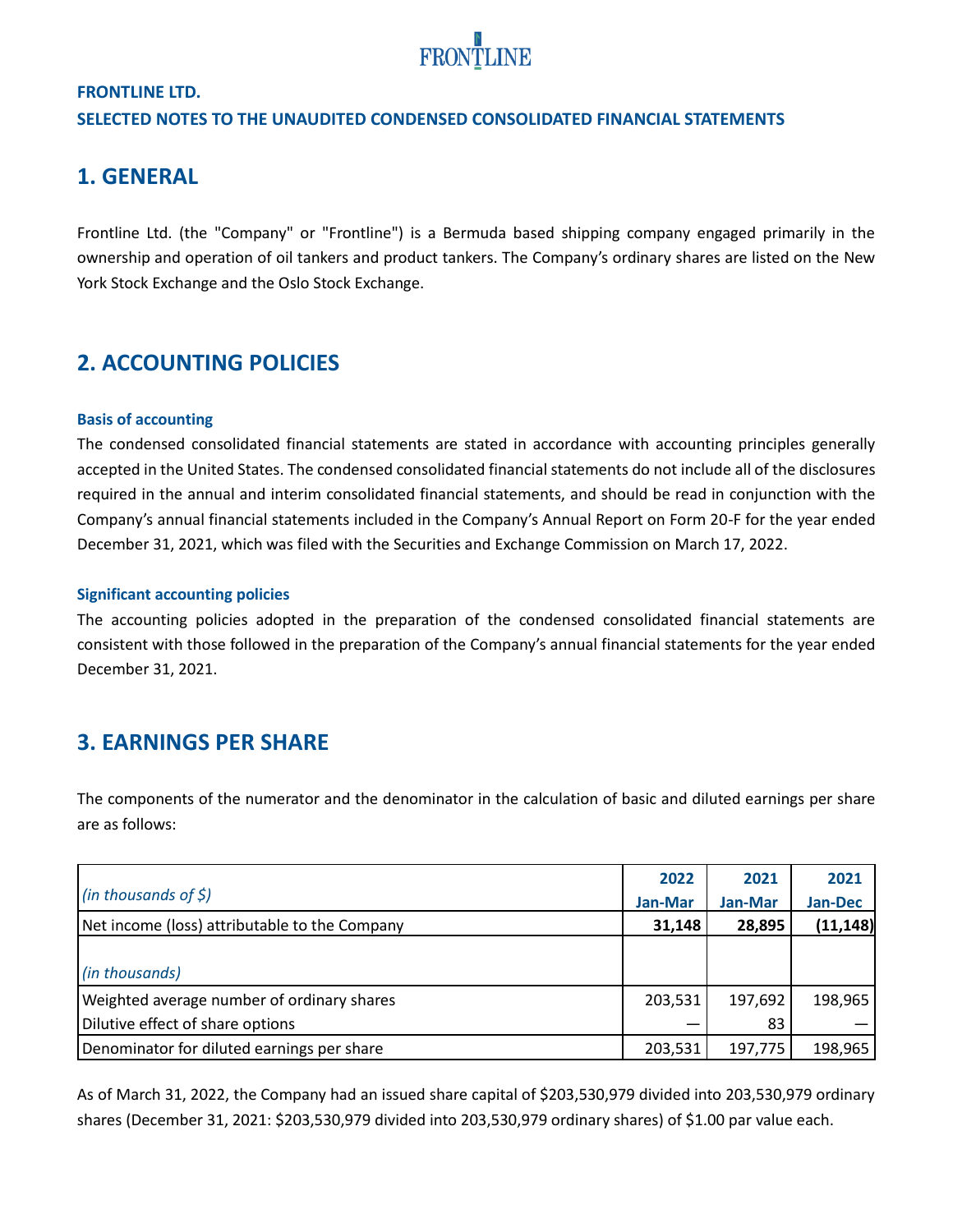

# **FRONTLINE LTD.**

# **SELECTED NOTES TO THE UNAUDITED CONDENSED CONSOLIDATED FINANCIAL STATEMENTS**

# **1. GENERAL**

Frontline Ltd. (the "Company" or "Frontline") is a Bermuda based shipping company engaged primarily in the ownership and operation of oil tankers and product tankers. The Company's ordinary shares are listed on the New York Stock Exchange and the Oslo Stock Exchange.

# **2. ACCOUNTING POLICIES**

## **Basis of accounting**

The condensed consolidated financial statements are stated in accordance with accounting principles generally accepted in the United States. The condensed consolidated financial statements do not include all of the disclosures required in the annual and interim consolidated financial statements, and should be read in conjunction with the Company's annual financial statements included in the Company's Annual Report on Form 20-F for the year ended December 31, 2021, which was filed with the Securities and Exchange Commission on March 17, 2022.

## **Significant accounting policies**

The accounting policies adopted in the preparation of the condensed consolidated financial statements are consistent with those followed in the preparation of the Company's annual financial statements for the year ended December 31, 2021.

# **3. EARNINGS PER SHARE**

The components of the numerator and the denominator in the calculation of basic and diluted earnings per share are as follows:

|                                               | 2022    | 2021    | 2021      |
|-----------------------------------------------|---------|---------|-----------|
| (in thousands of $\zeta$ )                    | Jan-Mar | Jan-Mar | Jan-Dec   |
| Net income (loss) attributable to the Company | 31,148  | 28,895  | (11, 148) |
|                                               |         |         |           |
| (in thousands)                                |         |         |           |
| Weighted average number of ordinary shares    | 203,531 | 197,692 | 198,965   |
| Dilutive effect of share options              |         | 83      |           |
| Denominator for diluted earnings per share    | 203,531 | 197,775 | 198,965   |

As of March 31, 2022, the Company had an issued share capital of \$203,530,979 divided into 203,530,979 ordinary shares (December 31, 2021: \$203,530,979 divided into 203,530,979 ordinary shares) of \$1.00 par value each.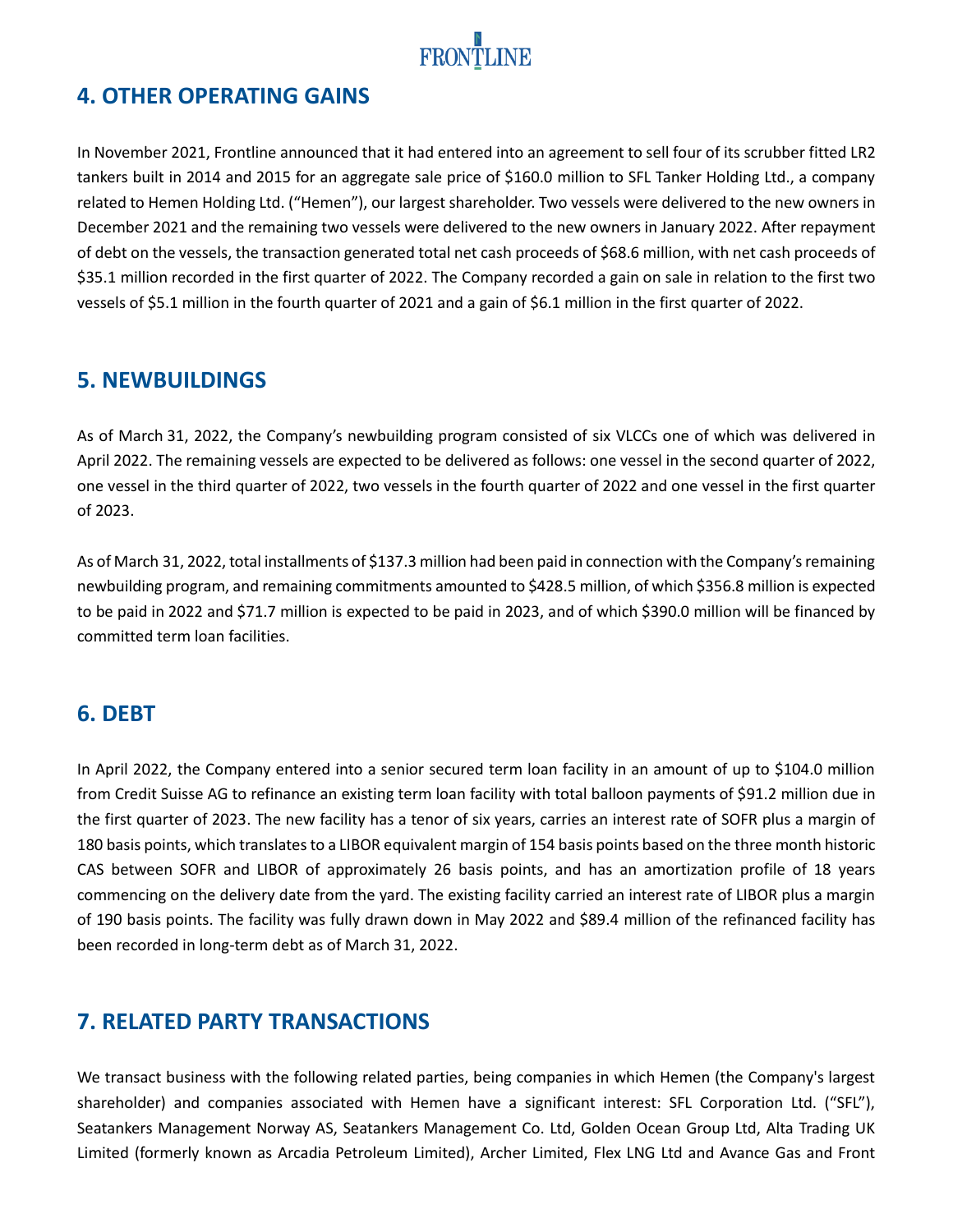

# **4. OTHER OPERATING GAINS**

In November 2021, Frontline announced that it had entered into an agreement to sell four of its scrubber fitted LR2 tankers built in 2014 and 2015 for an aggregate sale price of \$160.0 million to SFL Tanker Holding Ltd., a company related to Hemen Holding Ltd. ("Hemen"), our largest shareholder. Two vessels were delivered to the new owners in December 2021 and the remaining two vessels were delivered to the new owners in January 2022. After repayment of debt on the vessels, the transaction generated total net cash proceeds of \$68.6 million, with net cash proceeds of \$35.1 million recorded in the first quarter of 2022. The Company recorded a gain on sale in relation to the first two vessels of \$5.1 million in the fourth quarter of 2021 and a gain of \$6.1 million in the first quarter of 2022.

# **5. NEWBUILDINGS**

As of March 31, 2022, the Company's newbuilding program consisted of six VLCCs one of which was delivered in April 2022. The remaining vessels are expected to be delivered as follows: one vessel in the second quarter of 2022, one vessel in the third quarter of 2022, two vessels in the fourth quarter of 2022 and one vessel in the first quarter of 2023.

As of March 31, 2022, total installments of \$137.3 million had been paid in connection with the Company's remaining newbuilding program, and remaining commitments amounted to \$428.5 million, of which \$356.8 million is expected to be paid in 2022 and \$71.7 million is expected to be paid in 2023, and of which \$390.0 million will be financed by committed term loan facilities.

# **6. DEBT**

In April 2022, the Company entered into a senior secured term loan facility in an amount of up to \$104.0 million from Credit Suisse AG to refinance an existing term loan facility with total balloon payments of \$91.2 million due in the first quarter of 2023. The new facility has a tenor of six years, carries an interest rate of SOFR plus a margin of 180 basis points, which translates to a LIBOR equivalent margin of 154 basis points based on the three month historic CAS between SOFR and LIBOR of approximately 26 basis points, and has an amortization profile of 18 years commencing on the delivery date from the yard. The existing facility carried an interest rate of LIBOR plus a margin of 190 basis points. The facility was fully drawn down in May 2022 and \$89.4 million of the refinanced facility has been recorded in long-term debt as of March 31, 2022.

# **7. RELATED PARTY TRANSACTIONS**

We transact business with the following related parties, being companies in which Hemen (the Company's largest shareholder) and companies associated with Hemen have a significant interest: SFL Corporation Ltd. ("SFL"), Seatankers Management Norway AS, Seatankers Management Co. Ltd, Golden Ocean Group Ltd, Alta Trading UK Limited (formerly known as Arcadia Petroleum Limited), Archer Limited, Flex LNG Ltd and Avance Gas and Front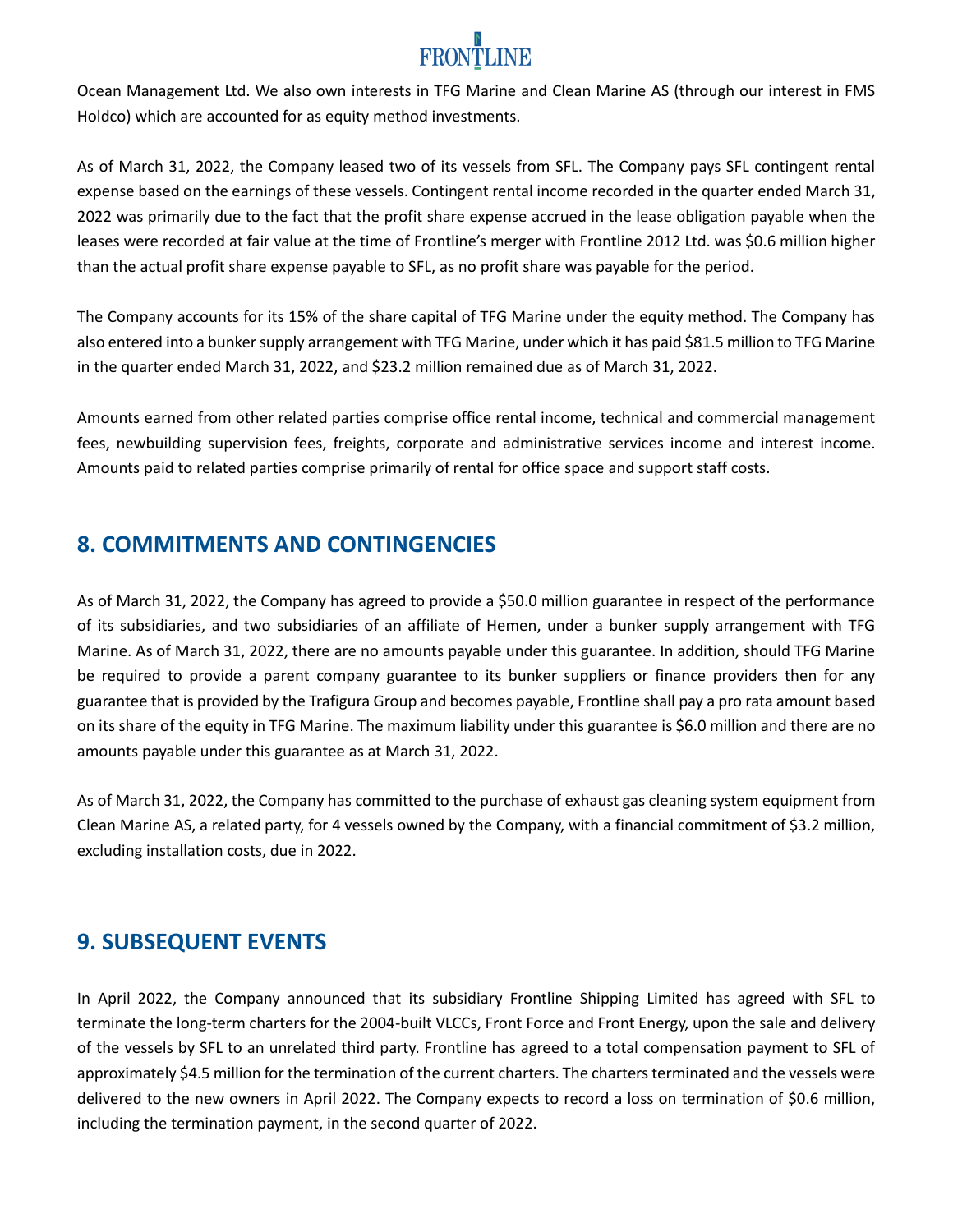Ocean Management Ltd. We also own interests in TFG Marine and Clean Marine AS (through our interest in FMS Holdco) which are accounted for as equity method investments.

As of March 31, 2022, the Company leased two of its vessels from SFL. The Company pays SFL contingent rental expense based on the earnings of these vessels. Contingent rental income recorded in the quarter ended March 31, 2022 was primarily due to the fact that the profit share expense accrued in the lease obligation payable when the leases were recorded at fair value at the time of Frontline's merger with Frontline 2012 Ltd. was \$0.6 million higher than the actual profit share expense payable to SFL, as no profit share was payable for the period.

The Company accounts for its 15% of the share capital of TFG Marine under the equity method. The Company has also entered into a bunker supply arrangement with TFG Marine, under which it has paid \$81.5 million to TFG Marine in the quarter ended March 31, 2022, and \$23.2 million remained due as of March 31, 2022.

Amounts earned from other related parties comprise office rental income, technical and commercial management fees, newbuilding supervision fees, freights, corporate and administrative services income and interest income. Amounts paid to related parties comprise primarily of rental for office space and support staff costs.

# **8. COMMITMENTS AND CONTINGENCIES**

As of March 31, 2022, the Company has agreed to provide a \$50.0 million guarantee in respect of the performance of its subsidiaries, and two subsidiaries of an affiliate of Hemen, under a bunker supply arrangement with TFG Marine. As of March 31, 2022, there are no amounts payable under this guarantee. In addition, should TFG Marine be required to provide a parent company guarantee to its bunker suppliers or finance providers then for any guarantee that is provided by the Trafigura Group and becomes payable, Frontline shall pay a pro rata amount based on its share of the equity in TFG Marine. The maximum liability under this guarantee is \$6.0 million and there are no amounts payable under this guarantee as at March 31, 2022.

As of March 31, 2022, the Company has committed to the purchase of exhaust gas cleaning system equipment from Clean Marine AS, a related party, for 4 vessels owned by the Company, with a financial commitment of \$3.2 million, excluding installation costs, due in 2022.

# **9. SUBSEQUENT EVENTS**

In April 2022, the Company announced that its subsidiary Frontline Shipping Limited has agreed with SFL to terminate the long-term charters for the 2004-built VLCCs, Front Force and Front Energy, upon the sale and delivery of the vessels by SFL to an unrelated third party. Frontline has agreed to a total compensation payment to SFL of approximately \$4.5 million for the termination of the current charters. The charters terminated and the vessels were delivered to the new owners in April 2022. The Company expects to record a loss on termination of \$0.6 million, including the termination payment, in the second quarter of 2022.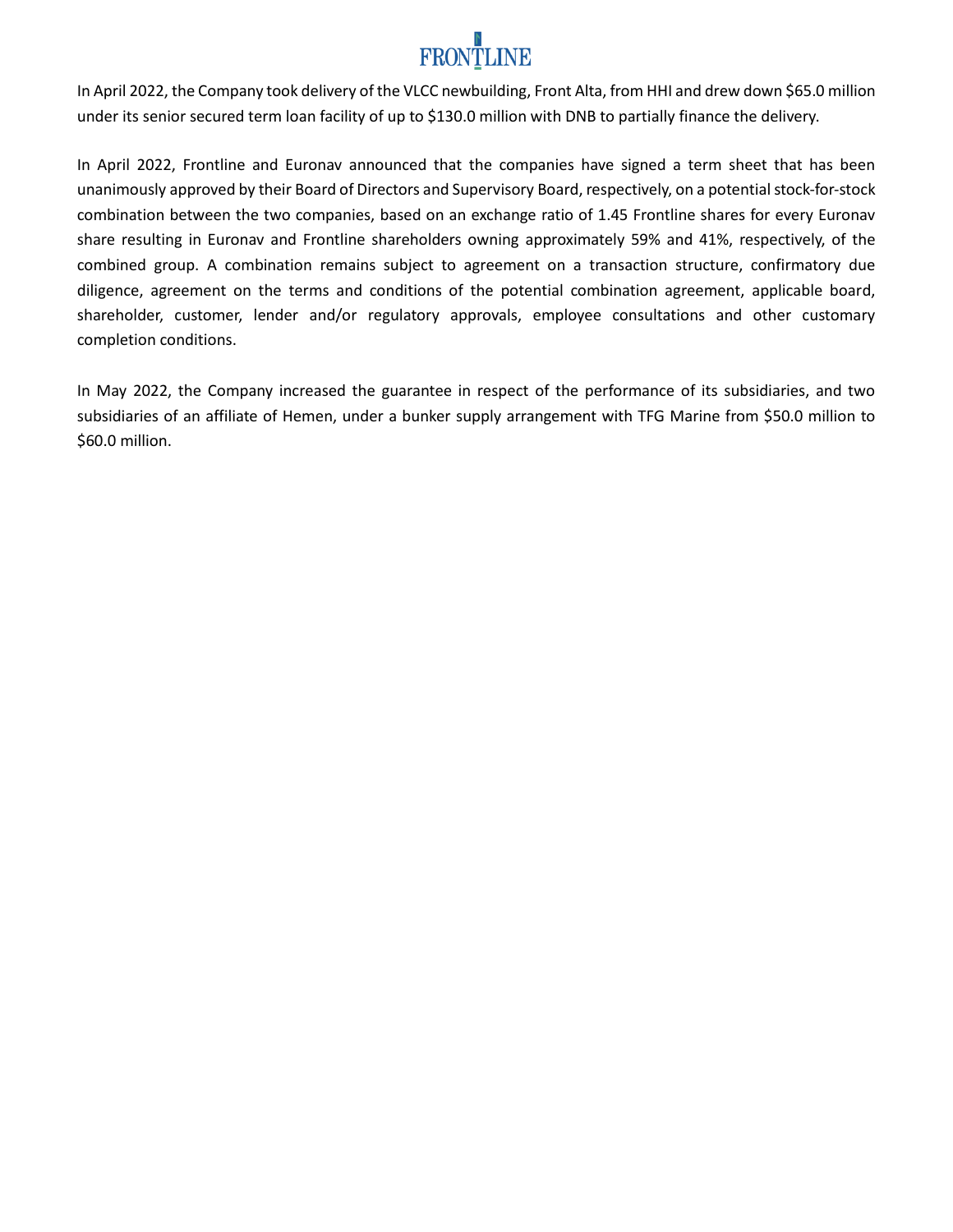

In April 2022, the Company took delivery of the VLCC newbuilding, Front Alta, from HHI and drew down \$65.0 million under its senior secured term loan facility of up to \$130.0 million with DNB to partially finance the delivery.

In April 2022, Frontline and Euronav announced that the companies have signed a term sheet that has been unanimously approved by their Board of Directors and Supervisory Board, respectively, on a potential stock-for-stock combination between the two companies, based on an exchange ratio of 1.45 Frontline shares for every Euronav share resulting in Euronav and Frontline shareholders owning approximately 59% and 41%, respectively, of the combined group. A combination remains subject to agreement on a transaction structure, confirmatory due diligence, agreement on the terms and conditions of the potential combination agreement, applicable board, shareholder, customer, lender and/or regulatory approvals, employee consultations and other customary completion conditions.

In May 2022, the Company increased the guarantee in respect of the performance of its subsidiaries, and two subsidiaries of an affiliate of Hemen, under a bunker supply arrangement with TFG Marine from \$50.0 million to \$60.0 million.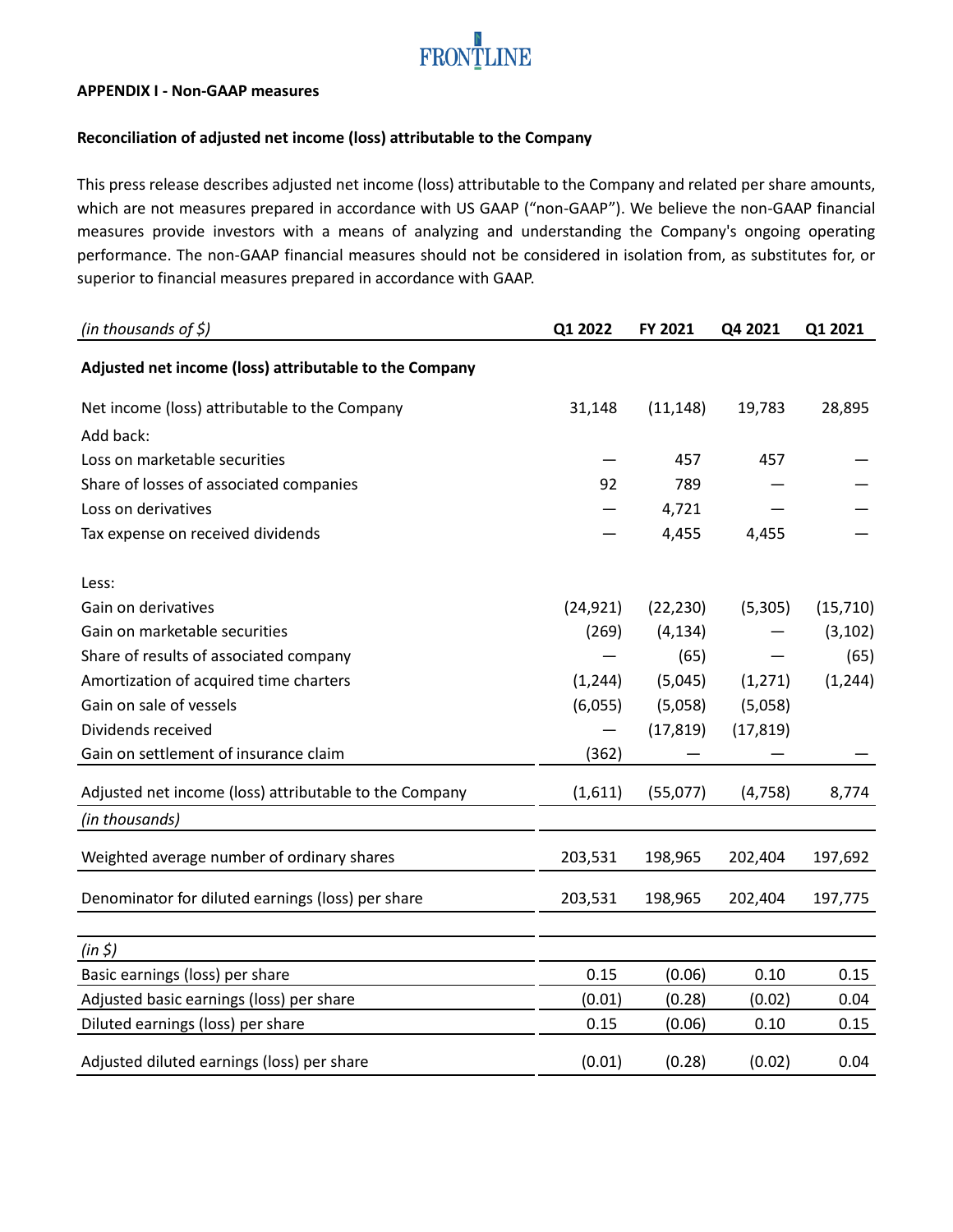

### **APPENDIX I - Non-GAAP measures**

## **Reconciliation of adjusted net income (loss) attributable to the Company**

This press release describes adjusted net income (loss) attributable to the Company and related per share amounts, which are not measures prepared in accordance with US GAAP ("non-GAAP"). We believe the non-GAAP financial measures provide investors with a means of analyzing and understanding the Company's ongoing operating performance. The non-GAAP financial measures should not be considered in isolation from, as substitutes for, or superior to financial measures prepared in accordance with GAAP.

| (in thousands of $\zeta$ )                             | Q1 2022   | FY 2021   | Q4 2021   | Q1 2021   |
|--------------------------------------------------------|-----------|-----------|-----------|-----------|
| Adjusted net income (loss) attributable to the Company |           |           |           |           |
| Net income (loss) attributable to the Company          | 31,148    | (11, 148) | 19,783    | 28,895    |
| Add back:                                              |           |           |           |           |
| Loss on marketable securities                          |           | 457       | 457       |           |
| Share of losses of associated companies                | 92        | 789       |           |           |
| Loss on derivatives                                    |           | 4,721     |           |           |
| Tax expense on received dividends                      |           | 4,455     | 4,455     |           |
| Less:                                                  |           |           |           |           |
| Gain on derivatives                                    | (24, 921) | (22, 230) | (5,305)   | (15, 710) |
| Gain on marketable securities                          | (269)     | (4, 134)  |           | (3, 102)  |
| Share of results of associated company                 |           | (65)      |           | (65)      |
| Amortization of acquired time charters                 | (1, 244)  | (5,045)   | (1, 271)  | (1, 244)  |
| Gain on sale of vessels                                | (6,055)   | (5,058)   | (5,058)   |           |
| Dividends received                                     |           | (17, 819) | (17, 819) |           |
| Gain on settlement of insurance claim                  | (362)     |           |           |           |
| Adjusted net income (loss) attributable to the Company | (1,611)   | (55,077)  | (4, 758)  | 8,774     |
| (in thousands)                                         |           |           |           |           |
| Weighted average number of ordinary shares             | 203,531   | 198,965   | 202,404   | 197,692   |
| Denominator for diluted earnings (loss) per share      | 203,531   | 198,965   | 202,404   | 197,775   |
| (in 5)                                                 |           |           |           |           |
| Basic earnings (loss) per share                        | 0.15      | (0.06)    | 0.10      | 0.15      |
| Adjusted basic earnings (loss) per share               | (0.01)    | (0.28)    | (0.02)    | 0.04      |
| Diluted earnings (loss) per share                      | 0.15      | (0.06)    | 0.10      | 0.15      |
| Adjusted diluted earnings (loss) per share             | (0.01)    | (0.28)    | (0.02)    | 0.04      |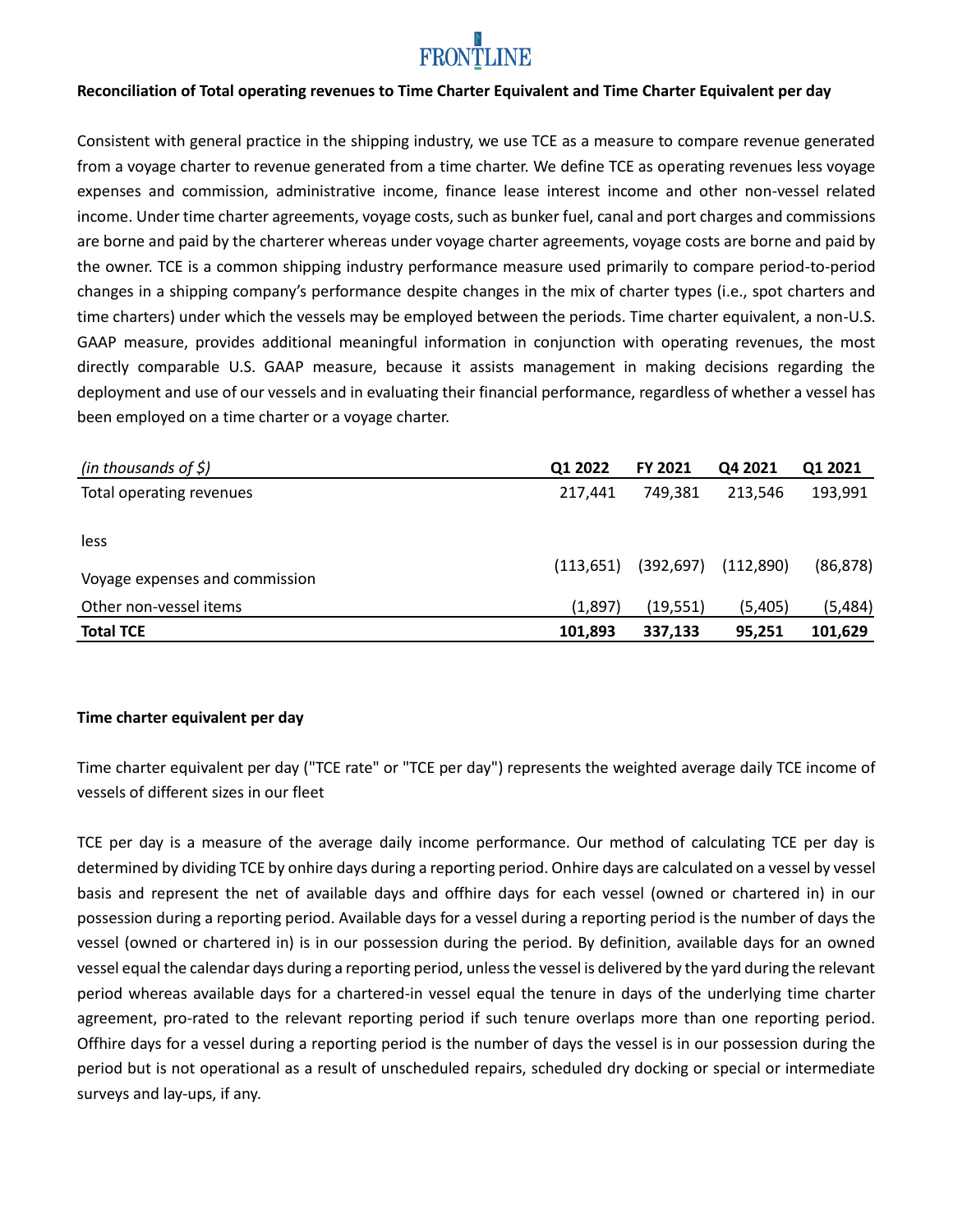

## **Reconciliation of Total operating revenues to Time Charter Equivalent and Time Charter Equivalent per day**

Consistent with general practice in the shipping industry, we use TCE as a measure to compare revenue generated from a voyage charter to revenue generated from a time charter. We define TCE as operating revenues less voyage expenses and commission, administrative income, finance lease interest income and other non-vessel related income. Under time charter agreements, voyage costs, such as bunker fuel, canal and port charges and commissions are borne and paid by the charterer whereas under voyage charter agreements, voyage costs are borne and paid by the owner. TCE is a common shipping industry performance measure used primarily to compare period-to-period changes in a shipping company's performance despite changes in the mix of charter types (i.e., spot charters and time charters) under which the vessels may be employed between the periods. Time charter equivalent, a non-U.S. GAAP measure, provides additional meaningful information in conjunction with operating revenues, the most directly comparable U.S. GAAP measure, because it assists management in making decisions regarding the deployment and use of our vessels and in evaluating their financial performance, regardless of whether a vessel has been employed on a time charter or a voyage charter.

| (in thousands of $\zeta$ )     | Q1 2022    | <b>FY 2021</b> | Q4 2021    | Q1 2021   |
|--------------------------------|------------|----------------|------------|-----------|
| Total operating revenues       | 217,441    | 749.381        | 213.546    | 193,991   |
|                                |            |                |            |           |
| less                           |            |                |            |           |
| Voyage expenses and commission | (113, 651) | (392, 697)     | (112, 890) | (86, 878) |
| Other non-vessel items         | (1,897)    | (19, 551)      | (5,405)    | (5, 484)  |
| <b>Total TCE</b>               | 101,893    | 337,133        | 95,251     | 101,629   |

### **Time charter equivalent per day**

Time charter equivalent per day ("TCE rate" or "TCE per day") represents the weighted average daily TCE income of vessels of different sizes in our fleet

TCE per day is a measure of the average daily income performance. Our method of calculating TCE per day is determined by dividing TCE by onhire days during a reporting period. Onhire days are calculated on a vessel by vessel basis and represent the net of available days and offhire days for each vessel (owned or chartered in) in our possession during a reporting period. Available days for a vessel during a reporting period is the number of days the vessel (owned or chartered in) is in our possession during the period. By definition, available days for an owned vessel equal the calendar days during a reporting period, unless the vessel is delivered by the yard during the relevant period whereas available days for a chartered-in vessel equal the tenure in days of the underlying time charter agreement, pro-rated to the relevant reporting period if such tenure overlaps more than one reporting period. Offhire days for a vessel during a reporting period is the number of days the vessel is in our possession during the period but is not operational as a result of unscheduled repairs, scheduled dry docking or special or intermediate surveys and lay-ups, if any.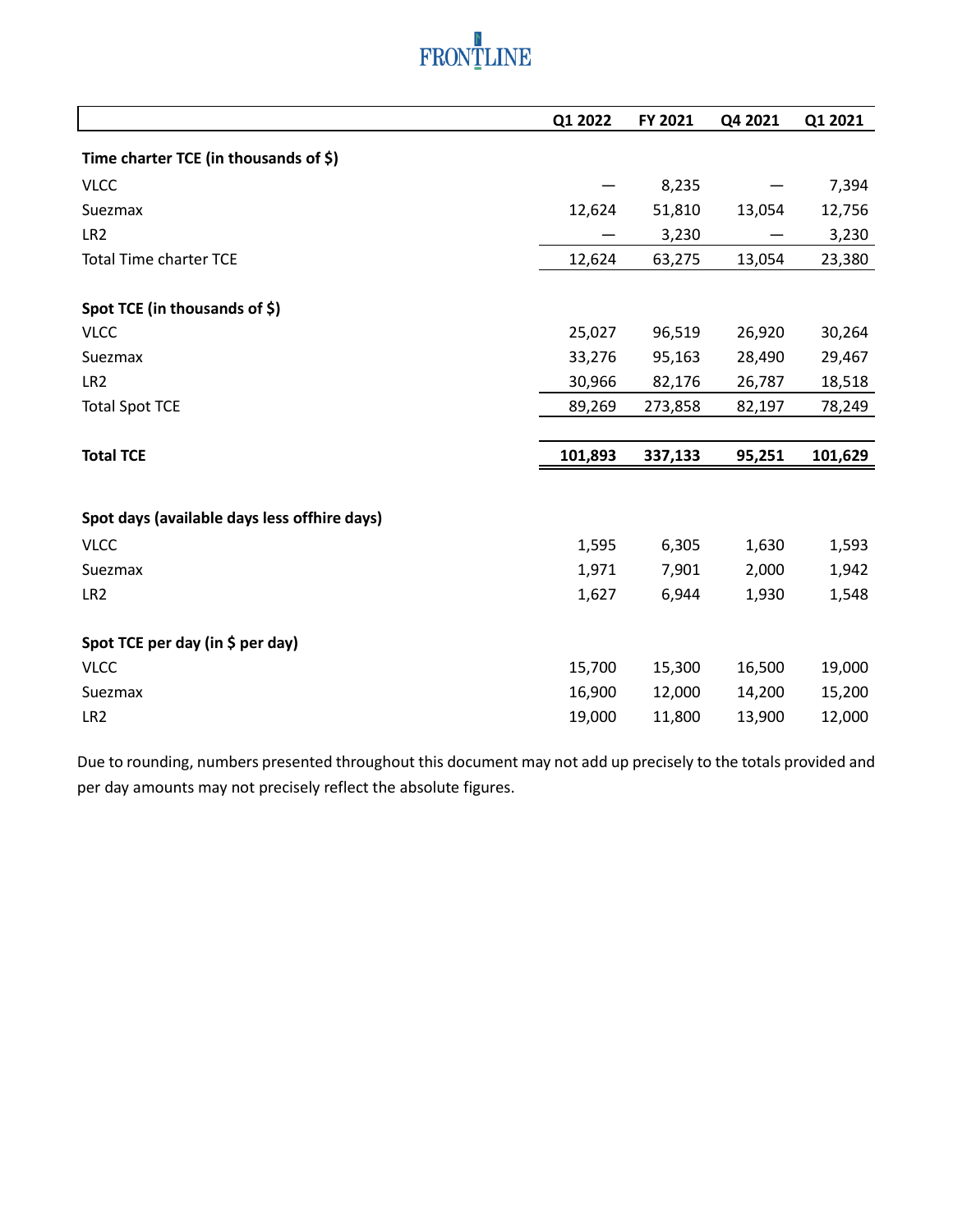|                                              | Q1 2022 | FY 2021 | Q4 2021 | Q1 2021 |
|----------------------------------------------|---------|---------|---------|---------|
| Time charter TCE (in thousands of \$)        |         |         |         |         |
| <b>VLCC</b>                                  |         | 8,235   |         | 7,394   |
| Suezmax                                      | 12,624  | 51,810  | 13,054  | 12,756  |
| LR <sub>2</sub>                              |         | 3,230   |         | 3,230   |
| <b>Total Time charter TCE</b>                | 12,624  | 63,275  | 13,054  | 23,380  |
| Spot TCE (in thousands of \$)                |         |         |         |         |
| <b>VLCC</b>                                  | 25,027  | 96,519  | 26,920  | 30,264  |
| Suezmax                                      | 33,276  | 95,163  | 28,490  | 29,467  |
| LR <sub>2</sub>                              | 30,966  | 82,176  | 26,787  | 18,518  |
| <b>Total Spot TCE</b>                        | 89,269  | 273,858 | 82,197  | 78,249  |
| <b>Total TCE</b>                             | 101,893 | 337,133 | 95,251  | 101,629 |
| Spot days (available days less offhire days) |         |         |         |         |
| <b>VLCC</b>                                  | 1,595   | 6,305   | 1,630   | 1,593   |
| Suezmax                                      | 1,971   | 7,901   | 2,000   | 1,942   |
| LR <sub>2</sub>                              | 1,627   | 6,944   | 1,930   | 1,548   |
| Spot TCE per day (in \$ per day)             |         |         |         |         |
| <b>VLCC</b>                                  | 15,700  | 15,300  | 16,500  | 19,000  |
| Suezmax                                      | 16,900  | 12,000  | 14,200  | 15,200  |
| LR <sub>2</sub>                              | 19,000  | 11,800  | 13,900  | 12,000  |

Due to rounding, numbers presented throughout this document may not add up precisely to the totals provided and per day amounts may not precisely reflect the absolute figures.